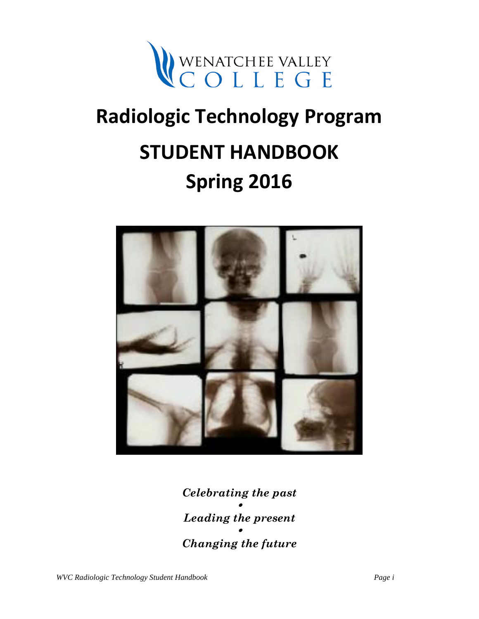

# **Radiologic Technology Program STUDENT HANDBOOK Spring 2016**



*Celebrating the past* . *Leading the present*  . *Changing the future*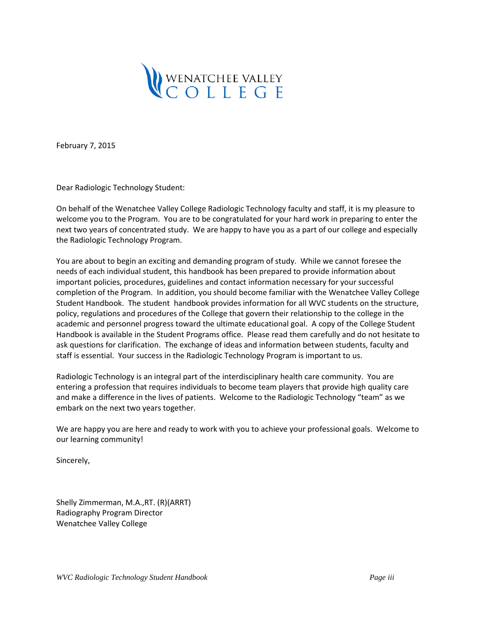

February 7, 2015

Dear Radiologic Technology Student:

On behalf of the Wenatchee Valley College Radiologic Technology faculty and staff, it is my pleasure to welcome you to the Program. You are to be congratulated for your hard work in preparing to enter the next two years of concentrated study. We are happy to have you as a part of our college and especially the Radiologic Technology Program.

You are about to begin an exciting and demanding program of study. While we cannot foresee the needs of each individual student, this handbook has been prepared to provide information about important policies, procedures, guidelines and contact information necessary for your successful completion of the Program. In addition, you should become familiar with the Wenatchee Valley College Student Handbook. The student handbook provides information for all WVC students on the structure, policy, regulations and procedures of the College that govern their relationship to the college in the academic and personnel progress toward the ultimate educational goal. A copy of the College Student Handbook is available in the Student Programs office. Please read them carefully and do not hesitate to ask questions for clarification. The exchange of ideas and information between students, faculty and staff is essential. Your success in the Radiologic Technology Program is important to us.

Radiologic Technology is an integral part of the interdisciplinary health care community. You are entering a profession that requires individuals to become team players that provide high quality care and make a difference in the lives of patients. Welcome to the Radiologic Technology "team" as we embark on the next two years together.

We are happy you are here and ready to work with you to achieve your professional goals. Welcome to our learning community!

Sincerely,

Shelly Zimmerman, M.A.,RT. (R)(ARRT) Radiography Program Director Wenatchee Valley College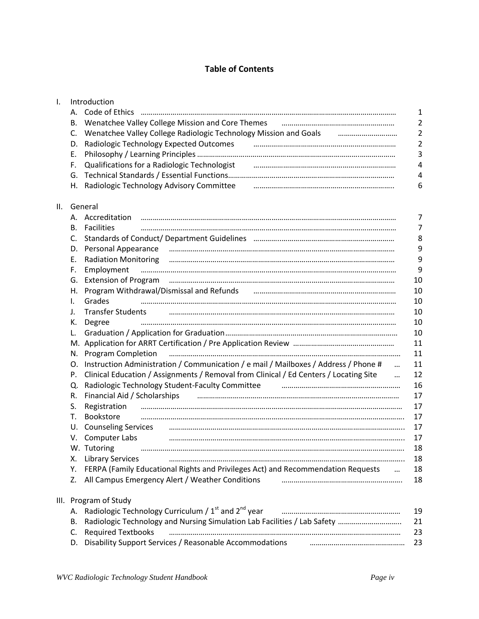## **Table of Contents**

| I. |          | Introduction                                                                                                                                                                        |                |
|----|----------|-------------------------------------------------------------------------------------------------------------------------------------------------------------------------------------|----------------|
|    | А.       |                                                                                                                                                                                     | 1              |
|    | В.       | Wenatchee Valley College Mission and Core Themes <b>Construct Contract College Mission</b> and Core Themes <b>Constructs</b> College Mission and Core Themes <b>College Mission</b> | $\overline{2}$ |
|    | C.       | Wenatchee Valley College Radiologic Technology Mission and Goals                                                                                                                    | $\overline{2}$ |
|    | D.       | Radiologic Technology Expected Outcomes                                                                                                                                             | $\overline{2}$ |
|    | Ε.       |                                                                                                                                                                                     | 3              |
|    | F.       | Qualifications for a Radiologic Technologist                                                                                                                                        | $\overline{4}$ |
|    | G.       |                                                                                                                                                                                     | 4              |
|    | Н.       | Radiologic Technology Advisory Committee manufactured and continuum and results and results and results and re                                                                      | 6              |
| П. |          | General                                                                                                                                                                             |                |
|    |          | A. Accreditation                                                                                                                                                                    | 7              |
|    | В.       | Facilities                                                                                                                                                                          | $\overline{7}$ |
|    | C.       |                                                                                                                                                                                     | 8              |
|    | D.       |                                                                                                                                                                                     | 9              |
|    | Ε.       | <b>Radiation Monitoring</b>                                                                                                                                                         | 9              |
|    | F.       | Employment                                                                                                                                                                          | 9              |
|    | G.       |                                                                                                                                                                                     | 10             |
|    | Н.       |                                                                                                                                                                                     | 10             |
|    | I.       | Grades                                                                                                                                                                              | 10             |
|    | J.       | <b>Transfer Students</b>                                                                                                                                                            | 10             |
|    | К.       | Degree                                                                                                                                                                              | 10             |
|    | L.       |                                                                                                                                                                                     | 10             |
|    |          |                                                                                                                                                                                     | 11             |
|    | N.       | <b>Program Completion</b>                                                                                                                                                           | 11             |
|    | Ο.       | Instruction Administration / Communication / e mail / Mailboxes / Address / Phone #                                                                                                 | 11             |
|    | Ρ.       | Clinical Education / Assignments / Removal from Clinical / Ed Centers / Locating Site<br>$\ddotsc$                                                                                  | 12             |
|    | Q.       | Radiologic Technology Student-Faculty Committee                                                                                                                                     | 16             |
|    | R.       | Financial Aid / Scholarships <b>communical and the contract of Scholarships</b> communications are the contract of the                                                              | 17             |
|    | S.       |                                                                                                                                                                                     | 17             |
|    | Т.       | Bookstore                                                                                                                                                                           | 17             |
|    | U.       | <b>Counseling Services</b>                                                                                                                                                          | 17             |
|    | V.       | <b>Computer Labs</b>                                                                                                                                                                | 17             |
|    |          | W. Tutoring                                                                                                                                                                         | 18             |
|    | х.       | <b>Library Services</b>                                                                                                                                                             | 18             |
|    | Υ.       | FERPA (Family Educational Rights and Privileges Act) and Recommendation Requests<br>$\cdots$                                                                                        | 18             |
|    | Z.       | All Campus Emergency Alert / Weather Conditions <b>Campus Constanting Conditions</b> All Campus Emergency Alert / Weather Conditions                                                | 18             |
|    |          | III. Program of Study                                                                                                                                                               |                |
|    | А.       | Radiologic Technology Curriculum / $1st$ and $2nd$ year                                                                                                                             | 19             |
|    | В.<br>C. |                                                                                                                                                                                     | 21             |
|    | D.       | <b>Required Textbooks</b><br>Disability Support Services / Reasonable Accommodations <b>Fig. 10.13.12.13.13.13.13.14.14.14.14.14.14.14.14.14.1</b>                                  | 23<br>23       |
|    |          |                                                                                                                                                                                     |                |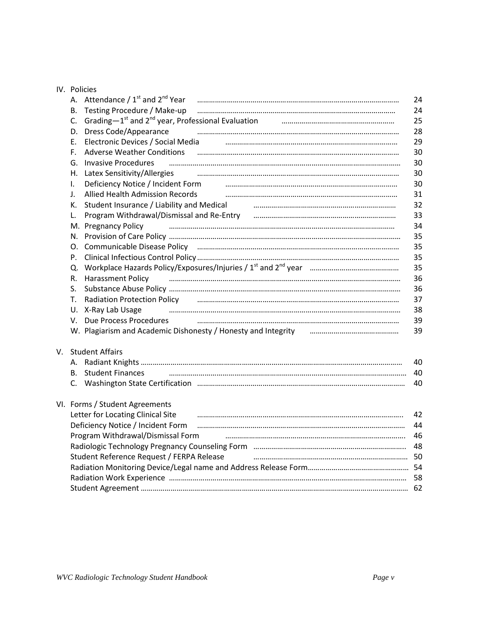## IV. Policies

|    |    | A. Attendance / $1^{st}$ and $2^{nd}$ Year                                                                                                                                                                                         | 24 |
|----|----|------------------------------------------------------------------------------------------------------------------------------------------------------------------------------------------------------------------------------------|----|
|    | В. | Testing Procedure / Make-up                                                                                                                                                                                                        | 24 |
|    | C. |                                                                                                                                                                                                                                    | 25 |
|    |    | D. Dress Code/Appearance                                                                                                                                                                                                           | 28 |
|    | Е. | Electronic Devices / Social Media                                                                                                                                                                                                  | 29 |
|    | F. | <b>Adverse Weather Conditions</b>                                                                                                                                                                                                  | 30 |
|    |    | G. Invasive Procedures                                                                                                                                                                                                             | 30 |
|    |    | H. Latex Sensitivity/Allergies                                                                                                                                                                                                     | 30 |
|    | I. | Deficiency Notice / Incident Form <b>contracts</b> and continuum contracts of the contract of the contracts of the contracts of the contracts of the contracts of the contracts of the contracts of the contracts of the contracts | 30 |
|    | J. | Allied Health Admission Records                                                                                                                                                                                                    | 31 |
|    | К. | Student Insurance / Liability and Medical manufacture and the contract of the student Insurance / Liability and Medical                                                                                                            | 32 |
|    | L. | Program Withdrawal/Dismissal and Re-Entry manufactured and manufactured and the manufactured manufactured and the Program Muslim manufactured and Re-Entry                                                                         | 33 |
|    |    | M. Pregnancy Policy                                                                                                                                                                                                                | 34 |
|    |    |                                                                                                                                                                                                                                    | 35 |
|    |    |                                                                                                                                                                                                                                    | 35 |
|    | Р. |                                                                                                                                                                                                                                    | 35 |
|    |    |                                                                                                                                                                                                                                    | 35 |
|    |    | R. Harassment Policy                                                                                                                                                                                                               | 36 |
|    | S. |                                                                                                                                                                                                                                    | 36 |
|    | Т. | Radiation Protection Policy manufactured and all protection Protection Policy                                                                                                                                                      | 37 |
|    |    | U. X-Ray Lab Usage                                                                                                                                                                                                                 | 38 |
|    | V. | Due Process Procedures                                                                                                                                                                                                             | 39 |
|    |    | W. Plagiarism and Academic Dishonesty / Honesty and Integrity Franchille Muslim manuscription                                                                                                                                      | 39 |
|    |    |                                                                                                                                                                                                                                    |    |
| V. |    | <b>Student Affairs</b>                                                                                                                                                                                                             |    |
|    |    |                                                                                                                                                                                                                                    | 40 |
|    | В. | <b>Student Finances</b>                                                                                                                                                                                                            | 40 |
|    | C. |                                                                                                                                                                                                                                    | 40 |
|    |    |                                                                                                                                                                                                                                    |    |
|    |    | VI. Forms / Student Agreements                                                                                                                                                                                                     |    |
|    |    | Letter for Locating Clinical Site                                                                                                                                                                                                  | 42 |
|    |    | Deficiency Notice / Incident Form                                                                                                                                                                                                  | 44 |
|    |    | Program Withdrawal/Dismissal Form                                                                                                                                                                                                  | 46 |
|    |    |                                                                                                                                                                                                                                    | 48 |
|    |    | Student Reference Request / FERPA Release                                                                                                                                                                                          | 50 |
|    |    |                                                                                                                                                                                                                                    |    |
|    |    |                                                                                                                                                                                                                                    |    |
|    |    |                                                                                                                                                                                                                                    |    |
|    |    |                                                                                                                                                                                                                                    |    |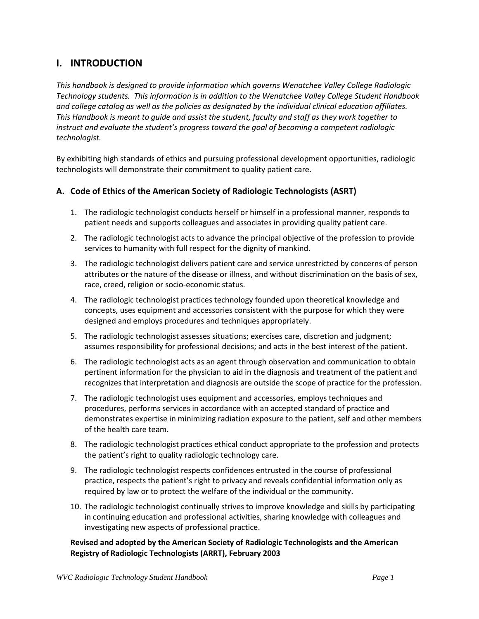## **I. INTRODUCTION**

*This handbook is designed to provide information which governs Wenatchee Valley College Radiologic Technology students. This information is in addition to the Wenatchee Valley College Student Handbook and college catalog as well as the policies as designated by the individual clinical education affiliates. This Handbook is meant to guide and assist the student, faculty and staff as they work together to instruct and evaluate the student's progress toward the goal of becoming a competent radiologic technologist.*

By exhibiting high standards of ethics and pursuing professional development opportunities, radiologic technologists will demonstrate their commitment to quality patient care.

## **A. Code of Ethics of the American Society of Radiologic Technologists (ASRT)**

- 1. The radiologic technologist conducts herself or himself in a professional manner, responds to patient needs and supports colleagues and associates in providing quality patient care.
- 2. The radiologic technologist acts to advance the principal objective of the profession to provide services to humanity with full respect for the dignity of mankind.
- 3. The radiologic technologist delivers patient care and service unrestricted by concerns of person attributes or the nature of the disease or illness, and without discrimination on the basis of sex, race, creed, religion or socio-economic status.
- 4. The radiologic technologist practices technology founded upon theoretical knowledge and concepts, uses equipment and accessories consistent with the purpose for which they were designed and employs procedures and techniques appropriately.
- 5. The radiologic technologist assesses situations; exercises care, discretion and judgment; assumes responsibility for professional decisions; and acts in the best interest of the patient.
- 6. The radiologic technologist acts as an agent through observation and communication to obtain pertinent information for the physician to aid in the diagnosis and treatment of the patient and recognizes that interpretation and diagnosis are outside the scope of practice for the profession.
- 7. The radiologic technologist uses equipment and accessories, employs techniques and procedures, performs services in accordance with an accepted standard of practice and demonstrates expertise in minimizing radiation exposure to the patient, self and other members of the health care team.
- 8. The radiologic technologist practices ethical conduct appropriate to the profession and protects the patient's right to quality radiologic technology care.
- 9. The radiologic technologist respects confidences entrusted in the course of professional practice, respects the patient's right to privacy and reveals confidential information only as required by law or to protect the welfare of the individual or the community.
- 10. The radiologic technologist continually strives to improve knowledge and skills by participating in continuing education and professional activities, sharing knowledge with colleagues and investigating new aspects of professional practice.

## **Revised and adopted by the American Society of Radiologic Technologists and the American Registry of Radiologic Technologists (ARRT), February 2003**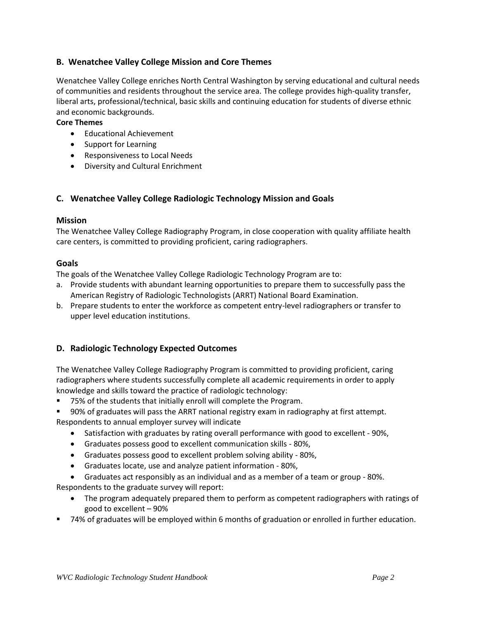## **B. Wenatchee Valley College Mission and Core Themes**

Wenatchee Valley College enriches North Central Washington by serving educational and cultural needs of communities and residents throughout the service area. The college provides high-quality transfer, liberal arts, professional/technical, basic skills and continuing education for students of diverse ethnic and economic backgrounds.

## **Core Themes**

- Educational Achievement
- Support for Learning
- Responsiveness to Local Needs
- Diversity and Cultural Enrichment

## **C. Wenatchee Valley College Radiologic Technology Mission and Goals**

## **Mission**

The Wenatchee Valley College Radiography Program, in close cooperation with quality affiliate health care centers, is committed to providing proficient, caring radiographers.

## **Goals**

The goals of the Wenatchee Valley College Radiologic Technology Program are to:

- a. Provide students with abundant learning opportunities to prepare them to successfully pass the American Registry of Radiologic Technologists (ARRT) National Board Examination.
- b. Prepare students to enter the workforce as competent entry-level radiographers or transfer to upper level education institutions.

## **D. Radiologic Technology Expected Outcomes**

The Wenatchee Valley College Radiography Program is committed to providing proficient, caring radiographers where students successfully complete all academic requirements in order to apply knowledge and skills toward the practice of radiologic technology:

■ 75% of the students that initially enroll will complete the Program.

 90% of graduates will pass the ARRT national registry exam in radiography at first attempt. Respondents to annual employer survey will indicate

- Satisfaction with graduates by rating overall performance with good to excellent 90%,
- Graduates possess good to excellent communication skills 80%,
- Graduates possess good to excellent problem solving ability 80%,
- Graduates locate, use and analyze patient information 80%,

Graduates act responsibly as an individual and as a member of a team or group - 80%.

Respondents to the graduate survey will report:

- The program adequately prepared them to perform as competent radiographers with ratings of good to excellent – 90%
- 74% of graduates will be employed within 6 months of graduation or enrolled in further education.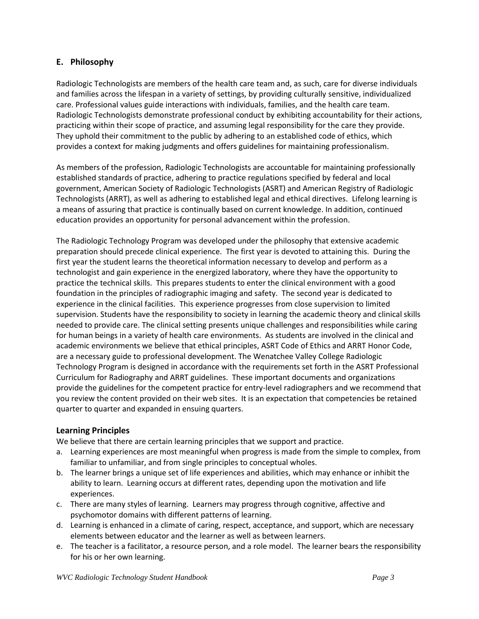## **E. Philosophy**

Radiologic Technologists are members of the health care team and, as such, care for diverse individuals and families across the lifespan in a variety of settings, by providing culturally sensitive, individualized care. Professional values guide interactions with individuals, families, and the health care team. Radiologic Technologists demonstrate professional conduct by exhibiting accountability for their actions, practicing within their scope of practice, and assuming legal responsibility for the care they provide. They uphold their commitment to the public by adhering to an established code of ethics, which provides a context for making judgments and offers guidelines for maintaining professionalism.

As members of the profession, Radiologic Technologists are accountable for maintaining professionally established standards of practice, adhering to practice regulations specified by federal and local government, American Society of Radiologic Technologists (ASRT) and American Registry of Radiologic Technologists (ARRT), as well as adhering to established legal and ethical directives. Lifelong learning is a means of assuring that practice is continually based on current knowledge. In addition, continued education provides an opportunity for personal advancement within the profession.

The Radiologic Technology Program was developed under the philosophy that extensive academic preparation should precede clinical experience. The first year is devoted to attaining this. During the first year the student learns the theoretical information necessary to develop and perform as a technologist and gain experience in the energized laboratory, where they have the opportunity to practice the technical skills. This prepares students to enter the clinical environment with a good foundation in the principles of radiographic imaging and safety. The second year is dedicated to experience in the clinical facilities. This experience progresses from close supervision to limited supervision. Students have the responsibility to society in learning the academic theory and clinical skills needed to provide care. The clinical setting presents unique challenges and responsibilities while caring for human beings in a variety of health care environments. As students are involved in the clinical and academic environments we believe that ethical principles, ASRT Code of Ethics and ARRT Honor Code, are a necessary guide to professional development. The Wenatchee Valley College Radiologic Technology Program is designed in accordance with the requirements set forth in the ASRT Professional Curriculum for Radiography and ARRT guidelines. These important documents and organizations provide the guidelines for the competent practice for entry-level radiographers and we recommend that you review the content provided on their web sites. It is an expectation that competencies be retained quarter to quarter and expanded in ensuing quarters.

## **Learning Principles**

We believe that there are certain learning principles that we support and practice.

- a. Learning experiences are most meaningful when progress is made from the simple to complex, from familiar to unfamiliar, and from single principles to conceptual wholes.
- b. The learner brings a unique set of life experiences and abilities, which may enhance or inhibit the ability to learn. Learning occurs at different rates, depending upon the motivation and life experiences.
- c. There are many styles of learning. Learners may progress through cognitive, affective and psychomotor domains with different patterns of learning.
- d. Learning is enhanced in a climate of caring, respect, acceptance, and support, which are necessary elements between educator and the learner as well as between learners.
- e. The teacher is a facilitator, a resource person, and a role model. The learner bears the responsibility for his or her own learning.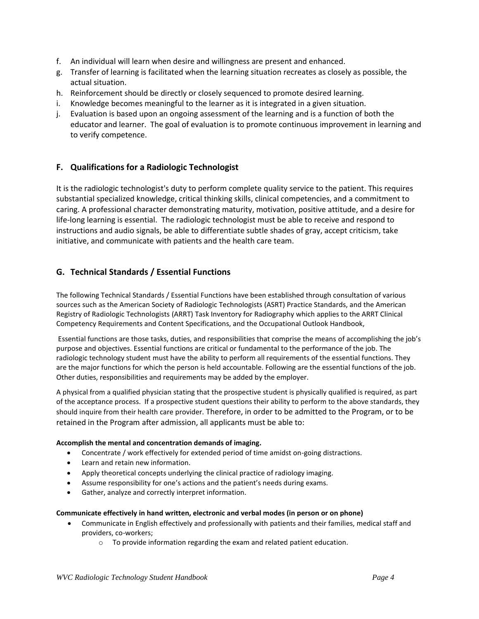- f. An individual will learn when desire and willingness are present and enhanced.
- g. Transfer of learning is facilitated when the learning situation recreates as closely as possible, the actual situation.
- h. Reinforcement should be directly or closely sequenced to promote desired learning.
- i. Knowledge becomes meaningful to the learner as it is integrated in a given situation.
- j. Evaluation is based upon an ongoing assessment of the learning and is a function of both the educator and learner. The goal of evaluation is to promote continuous improvement in learning and to verify competence.

## **F. Qualifications for a Radiologic Technologist**

It is the radiologic technologist's duty to perform complete quality service to the patient. This requires substantial specialized knowledge, critical thinking skills, clinical competencies, and a commitment to caring. A professional character demonstrating maturity, motivation, positive attitude, and a desire for life-long learning is essential. The radiologic technologist must be able to receive and respond to instructions and audio signals, be able to differentiate subtle shades of gray, accept criticism, take initiative, and communicate with patients and the health care team.

## **G. Technical Standards / Essential Functions**

The following Technical Standards / Essential Functions have been established through consultation of various sources such as the American Society of Radiologic Technologists (ASRT) Practice Standards, and the American Registry of Radiologic Technologists (ARRT) Task Inventory for Radiography which applies to the ARRT Clinical Competency Requirements and Content Specifications, and the Occupational Outlook Handbook,

Essential functions are those tasks, duties, and responsibilities that comprise the means of accomplishing the job's purpose and objectives. Essential functions are critical or fundamental to the performance of the job. The radiologic technology student must have the ability to perform all requirements of the essential functions. They are the major functions for which the person is held accountable. Following are the essential functions of the job. Other duties, responsibilities and requirements may be added by the employer.

A physical from a qualified physician stating that the prospective student is physically qualified is required, as part of the acceptance process. If a prospective student questions their ability to perform to the above standards, they should inquire from their health care provider. Therefore, in order to be admitted to the Program, or to be retained in the Program after admission, all applicants must be able to:

## **Accomplish the mental and concentration demands of imaging.**

- Concentrate / work effectively for extended period of time amidst on-going distractions.
- Learn and retain new information.
- Apply theoretical concepts underlying the clinical practice of radiology imaging.
- Assume responsibility for one's actions and the patient's needs during exams.
- Gather, analyze and correctly interpret information.

#### **Communicate effectively in hand written, electronic and verbal modes (in person or on phone)**

- Communicate in English effectively and professionally with patients and their families, medical staff and providers, co-workers;
	- o To provide information regarding the exam and related patient education.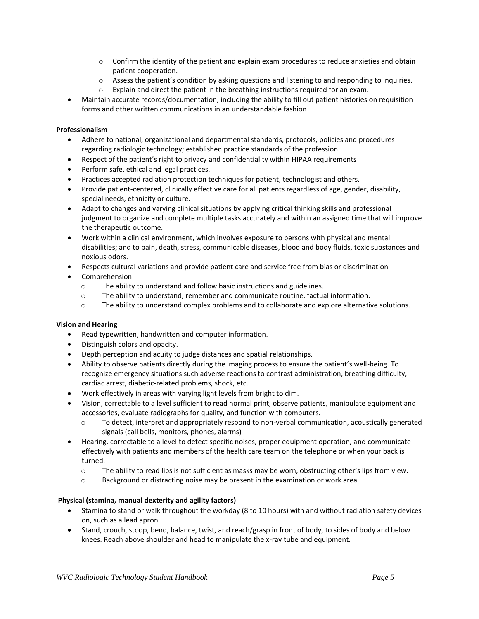- $\circ$  Confirm the identity of the patient and explain exam procedures to reduce anxieties and obtain patient cooperation.
- $\circ$  Assess the patient's condition by asking questions and listening to and responding to inquiries.
- o Explain and direct the patient in the breathing instructions required for an exam.
- Maintain accurate records/documentation, including the ability to fill out patient histories on requisition forms and other written communications in an understandable fashion

#### **Professionalism**

- Adhere to national, organizational and departmental standards, protocols, policies and procedures regarding radiologic technology; established practice standards of the profession
- Respect of the patient's right to privacy and confidentiality within HIPAA requirements
- Perform safe, ethical and legal practices.
- Practices accepted radiation protection techniques for patient, technologist and others.
- Provide patient-centered, clinically effective care for all patients regardless of age, gender, disability, special needs, ethnicity or culture.
- Adapt to changes and varying clinical situations by applying critical thinking skills and professional judgment to organize and complete multiple tasks accurately and within an assigned time that will improve the therapeutic outcome.
- Work within a clinical environment, which involves exposure to persons with physical and mental disabilities; and to pain, death, stress, communicable diseases, blood and body fluids, toxic substances and noxious odors.
- Respects cultural variations and provide patient care and service free from bias or discrimination
- Comprehension
	- o The ability to understand and follow basic instructions and guidelines.
	- o The ability to understand, remember and communicate routine, factual information.
	- o The ability to understand complex problems and to collaborate and explore alternative solutions.

#### **Vision and Hearing**

- Read typewritten, handwritten and computer information.
- Distinguish colors and opacity.
- Depth perception and acuity to judge distances and spatial relationships.
- Ability to observe patients directly during the imaging process to ensure the patient's well-being. To recognize emergency situations such adverse reactions to contrast administration, breathing difficulty, cardiac arrest, diabetic-related problems, shock, etc.
- Work effectively in areas with varying light levels from bright to dim.
- Vision, correctable to a level sufficient to read normal print, observe patients, manipulate equipment and accessories, evaluate radiographs for quality, and function with computers.
	- o To detect, interpret and appropriately respond to non-verbal communication, acoustically generated signals (call bells, monitors, phones, alarms)
- Hearing, correctable to a level to detect specific noises, proper equipment operation, and communicate effectively with patients and members of the health care team on the telephone or when your back is turned.
	- o The ability to read lips is not sufficient as masks may be worn, obstructing other's lips from view.
	- o Background or distracting noise may be present in the examination or work area.

#### **Physical (stamina, manual dexterity and agility factors)**

- Stamina to stand or walk throughout the workday (8 to 10 hours) with and without radiation safety devices on, such as a lead apron.
- Stand, crouch, stoop, bend, balance, twist, and reach/grasp in front of body, to sides of body and below knees. Reach above shoulder and head to manipulate the x-ray tube and equipment.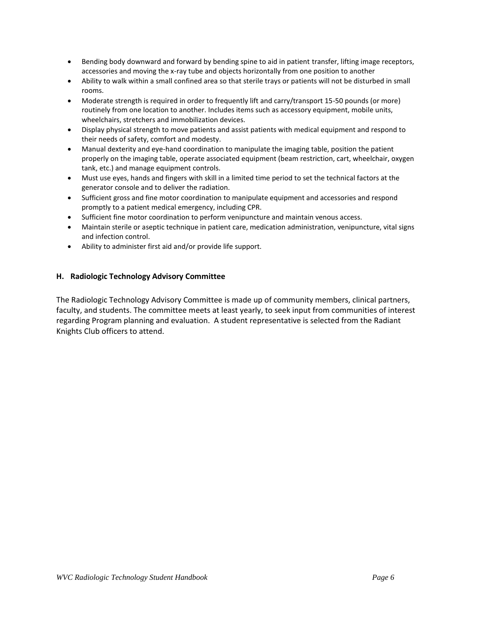- Bending body downward and forward by bending spine to aid in patient transfer, lifting image receptors, accessories and moving the x-ray tube and objects horizontally from one position to another
- Ability to walk within a small confined area so that sterile trays or patients will not be disturbed in small rooms.
- Moderate strength is required in order to frequently lift and carry/transport 15-50 pounds (or more) routinely from one location to another. Includes items such as accessory equipment, mobile units, wheelchairs, stretchers and immobilization devices.
- Display physical strength to move patients and assist patients with medical equipment and respond to their needs of safety, comfort and modesty.
- Manual dexterity and eye-hand coordination to manipulate the imaging table, position the patient properly on the imaging table, operate associated equipment (beam restriction, cart, wheelchair, oxygen tank, etc.) and manage equipment controls.
- Must use eyes, hands and fingers with skill in a limited time period to set the technical factors at the generator console and to deliver the radiation.
- Sufficient gross and fine motor coordination to manipulate equipment and accessories and respond promptly to a patient medical emergency, including CPR.
- Sufficient fine motor coordination to perform venipuncture and maintain venous access.
- Maintain sterile or aseptic technique in patient care, medication administration, venipuncture, vital signs and infection control.
- Ability to administer first aid and/or provide life support.

## **H. Radiologic Technology Advisory Committee**

The Radiologic Technology Advisory Committee is made up of community members, clinical partners, faculty, and students. The committee meets at least yearly, to seek input from communities of interest regarding Program planning and evaluation. A student representative is selected from the Radiant Knights Club officers to attend.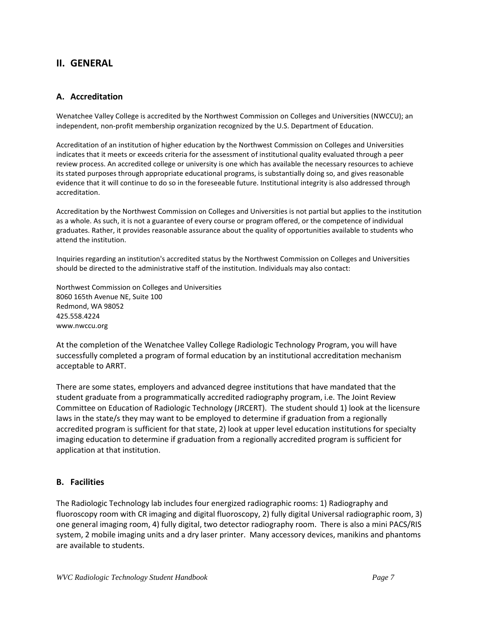## **II. GENERAL**

## **A. Accreditation**

Wenatchee Valley College is accredited by the Northwest Commission on Colleges and Universities (NWCCU); an independent, non-profit membership organization recognized by the U.S. Department of Education.

Accreditation of an institution of higher education by the Northwest Commission on Colleges and Universities indicates that it meets or exceeds criteria for the assessment of institutional quality evaluated through a peer review process. An accredited college or university is one which has available the necessary resources to achieve its stated purposes through appropriate educational programs, is substantially doing so, and gives reasonable evidence that it will continue to do so in the foreseeable future. Institutional integrity is also addressed through accreditation.

Accreditation by the Northwest Commission on Colleges and Universities is not partial but applies to the institution as a whole. As such, it is not a guarantee of every course or program offered, or the competence of individual graduates. Rather, it provides reasonable assurance about the quality of opportunities available to students who attend the institution.

Inquiries regarding an institution's accredited status by the Northwest Commission on Colleges and Universities should be directed to the administrative staff of the institution. Individuals may also contact:

Northwest Commission on Colleges and Universities 8060 165th Avenue NE, Suite 100 Redmond, WA 98052 425.558.4224 www.nwccu.org

At the completion of the Wenatchee Valley College Radiologic Technology Program, you will have successfully completed a program of formal education by an institutional accreditation mechanism acceptable to ARRT.

There are some states, employers and advanced degree institutions that have mandated that the student graduate from a programmatically accredited radiography program, i.e. The Joint Review Committee on Education of Radiologic Technology (JRCERT). The student should 1) look at the licensure laws in the state/s they may want to be employed to determine if graduation from a regionally accredited program is sufficient for that state, 2) look at upper level education institutions for specialty imaging education to determine if graduation from a regionally accredited program is sufficient for application at that institution.

## **B. Facilities**

The Radiologic Technology lab includes four energized radiographic rooms: 1) Radiography and fluoroscopy room with CR imaging and digital fluoroscopy, 2) fully digital Universal radiographic room, 3) one general imaging room, 4) fully digital, two detector radiography room. There is also a mini PACS/RIS system, 2 mobile imaging units and a dry laser printer. Many accessory devices, manikins and phantoms are available to students.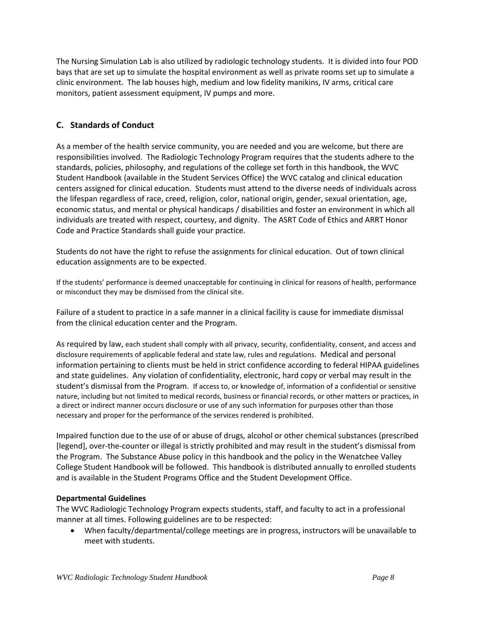The Nursing Simulation Lab is also utilized by radiologic technology students. It is divided into four POD bays that are set up to simulate the hospital environment as well as private rooms set up to simulate a clinic environment. The lab houses high, medium and low fidelity manikins, IV arms, critical care monitors, patient assessment equipment, IV pumps and more.

## **C. Standards of Conduct**

As a member of the health service community, you are needed and you are welcome, but there are responsibilities involved. The Radiologic Technology Program requires that the students adhere to the standards, policies, philosophy, and regulations of the college set forth in this handbook, the WVC Student Handbook (available in the Student Services Office) the WVC catalog and clinical education centers assigned for clinical education. Students must attend to the diverse needs of individuals across the lifespan regardless of race, creed, religion, color, national origin, gender, sexual orientation, age, economic status, and mental or physical handicaps / disabilities and foster an environment in which all individuals are treated with respect, courtesy, and dignity. The ASRT Code of Ethics and ARRT Honor Code and Practice Standards shall guide your practice.

Students do not have the right to refuse the assignments for clinical education. Out of town clinical education assignments are to be expected.

If the students' performance is deemed unacceptable for continuing in clinical for reasons of health, performance or misconduct they may be dismissed from the clinical site.

Failure of a student to practice in a safe manner in a clinical facility is cause for immediate dismissal from the clinical education center and the Program.

As required by law, each student shall comply with all privacy, security, confidentiality, consent, and access and disclosure requirements of applicable federal and state law, rules and regulations. Medical and personal information pertaining to clients must be held in strict confidence according to federal HIPAA guidelines and state guidelines. Any violation of confidentiality, electronic, hard copy or verbal may result in the student's dismissal from the Program. If access to, or knowledge of, information of a confidential or sensitive nature, including but not limited to medical records, business or financial records, or other matters or practices, in a direct or indirect manner occurs disclosure or use of any such information for purposes other than those necessary and proper for the performance of the services rendered is prohibited.

Impaired function due to the use of or abuse of drugs, alcohol or other chemical substances (prescribed [legend], over-the-counter or illegal is strictly prohibited and may result in the student's dismissal from the Program. The Substance Abuse policy in this handbook and the policy in the Wenatchee Valley College Student Handbook will be followed. This handbook is distributed annually to enrolled students and is available in the Student Programs Office and the Student Development Office.

## **Departmental Guidelines**

The WVC Radiologic Technology Program expects students, staff, and faculty to act in a professional manner at all times. Following guidelines are to be respected:

 When faculty/departmental/college meetings are in progress, instructors will be unavailable to meet with students.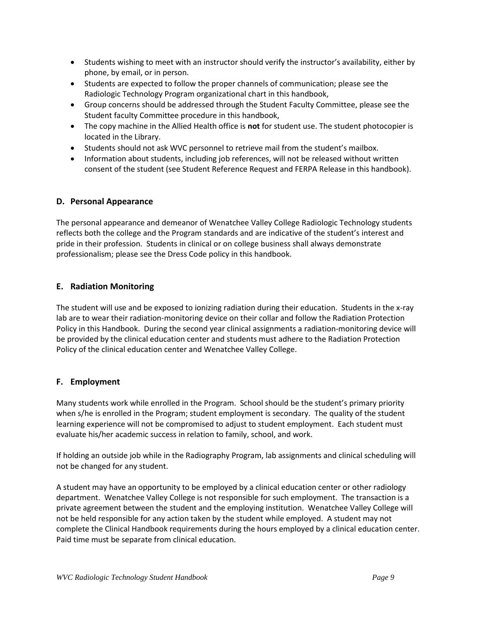- Students wishing to meet with an instructor should verify the instructor's availability, either by phone, by email, or in person.
- Students are expected to follow the proper channels of communication; please see the Radiologic Technology Program organizational chart in this handbook,
- Group concerns should be addressed through the Student Faculty Committee, please see the Student faculty Committee procedure in this handbook,
- The copy machine in the Allied Health office is **not** for student use. The student photocopier is located in the Library.
- Students should not ask WVC personnel to retrieve mail from the student's mailbox.
- Information about students, including job references, will not be released without written consent of the student (see Student Reference Request and FERPA Release in this handbook).

## **D. Personal Appearance**

The personal appearance and demeanor of Wenatchee Valley College Radiologic Technology students reflects both the college and the Program standards and are indicative of the student's interest and pride in their profession. Students in clinical or on college business shall always demonstrate professionalism; please see the Dress Code policy in this handbook.

## **E. Radiation Monitoring**

The student will use and be exposed to ionizing radiation during their education. Students in the x-ray lab are to wear their radiation-monitoring device on their collar and follow the Radiation Protection Policy in this Handbook. During the second year clinical assignments a radiation-monitoring device will be provided by the clinical education center and students must adhere to the Radiation Protection Policy of the clinical education center and Wenatchee Valley College.

## **F. Employment**

Many students work while enrolled in the Program. School should be the student's primary priority when s/he is enrolled in the Program; student employment is secondary. The quality of the student learning experience will not be compromised to adjust to student employment. Each student must evaluate his/her academic success in relation to family, school, and work.

If holding an outside job while in the Radiography Program, lab assignments and clinical scheduling will not be changed for any student.

A student may have an opportunity to be employed by a clinical education center or other radiology department. Wenatchee Valley College is not responsible for such employment. The transaction is a private agreement between the student and the employing institution. Wenatchee Valley College will not be held responsible for any action taken by the student while employed. A student may not complete the Clinical Handbook requirements during the hours employed by a clinical education center. Paid time must be separate from clinical education.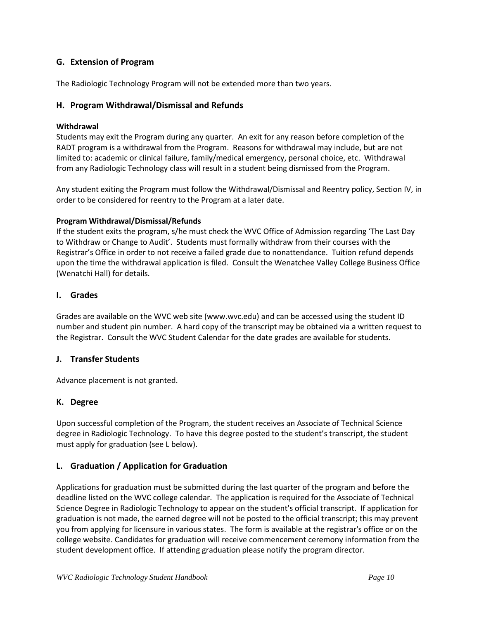## **G. Extension of Program**

The Radiologic Technology Program will not be extended more than two years.

## **H. Program Withdrawal/Dismissal and Refunds**

## **Withdrawal**

Students may exit the Program during any quarter. An exit for any reason before completion of the RADT program is a withdrawal from the Program. Reasons for withdrawal may include, but are not limited to: academic or clinical failure, family/medical emergency, personal choice, etc. Withdrawal from any Radiologic Technology class will result in a student being dismissed from the Program.

Any student exiting the Program must follow the Withdrawal/Dismissal and Reentry policy, Section IV, in order to be considered for reentry to the Program at a later date.

## **Program Withdrawal/Dismissal/Refunds**

If the student exits the program, s/he must check the WVC Office of Admission regarding 'The Last Day to Withdraw or Change to Audit'. Students must formally withdraw from their courses with the Registrar's Office in order to not receive a failed grade due to nonattendance. Tuition refund depends upon the time the withdrawal application is filed. Consult the Wenatchee Valley College Business Office (Wenatchi Hall) for details.

## **I. Grades**

Grades are available on the WVC web site (www.wvc.edu) and can be accessed using the student ID number and student pin number. A hard copy of the transcript may be obtained via a written request to the Registrar. Consult the WVC Student Calendar for the date grades are available for students.

## **J. Transfer Students**

Advance placement is not granted.

## **K. Degree**

Upon successful completion of the Program, the student receives an Associate of Technical Science degree in Radiologic Technology. To have this degree posted to the student's transcript, the student must apply for graduation (see L below).

## **L. Graduation / Application for Graduation**

Applications for graduation must be submitted during the last quarter of the program and before the deadline listed on the WVC college calendar. The application is required for the Associate of Technical Science Degree in Radiologic Technology to appear on the student's official transcript. If application for graduation is not made, the earned degree will not be posted to the official transcript; this may prevent you from applying for licensure in various states. The form is available at the registrar's office or on the college website. Candidates for graduation will receive commencement ceremony information from the student development office. If attending graduation please notify the program director.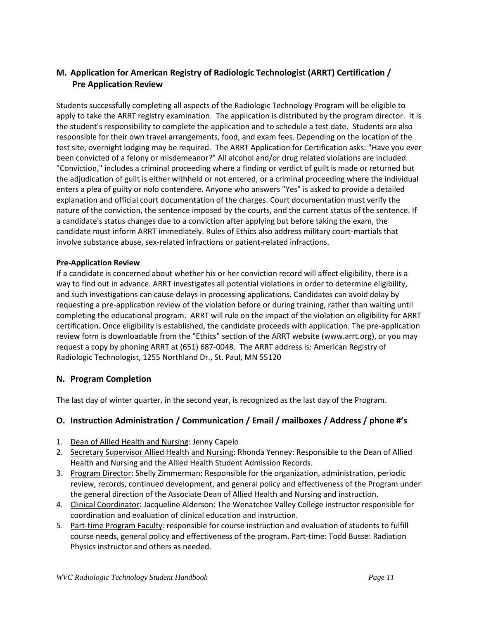## **M. Application for American Registry of Radiologic Technologist (ARRT) Certification / Pre Application Review**

Students successfully completing all aspects of the Radiologic Technology Program will be eligible to apply to take the ARRT registry examination. The application is distributed by the program director. It is the student's responsibility to complete the application and to schedule a test date. Students are also responsible for their own travel arrangements, food, and exam fees. Depending on the location of the test site, overnight lodging may be required. The ARRT Application for Certification asks: "Have you ever been convicted of a felony or misdemeanor?" All alcohol and/or drug related violations are included. "Conviction," includes a criminal proceeding where a finding or verdict of guilt is made or returned but the adjudication of guilt is either withheld or not entered, or a criminal proceeding where the individual enters a plea of guilty or nolo contendere. Anyone who answers "Yes" is asked to provide a detailed explanation and official court documentation of the charges. Court documentation must verify the nature of the conviction, the sentence imposed by the courts, and the current status of the sentence. If a candidate's status changes due to a conviction after applying but before taking the exam, the candidate must inform ARRT immediately. Rules of Ethics also address military court-martials that involve substance abuse, sex-related infractions or patient-related infractions.

## **Pre-Application Review**

If a candidate is concerned about whether his or her conviction record will affect eligibility, there is a way to find out in advance. ARRT investigates all potential violations in order to determine eligibility, and such investigations can cause delays in processing applications. Candidates can avoid delay by requesting a pre-application review of the violation before or during training, rather than waiting until completing the educational program. ARRT will rule on the impact of the violation on eligibility for ARRT certification. Once eligibility is established, the candidate proceeds with application. The pre-application review form is downloadable from the "Ethics" section of the ARRT website (www.arrt.org), or you may request a copy by phoning ARRT at (651) 687-0048. The ARRT address is: American Registry of Radiologic Technologist, 1255 Northland Dr., St. Paul, MN 55120

## **N. Program Completion**

The last day of winter quarter, in the second year, is recognized as the last day of the Program.

## **O. Instruction Administration / Communication / Email / mailboxes / Address / phone #'s**

- 1. Dean of Allied Health and Nursing: Jenny Capelo
- 2. Secretary Supervisor Allied Health and Nursing: Rhonda Yenney: Responsible to the Dean of Allied Health and Nursing and the Allied Health Student Admission Records.
- 3. Program Director: Shelly Zimmerman: Responsible for the organization, administration, periodic review, records, continued development, and general policy and effectiveness of the Program under the general direction of the Associate Dean of Allied Health and Nursing and instruction.
- 4. Clinical Coordinator: Jacqueline Alderson: The Wenatchee Valley College instructor responsible for coordination and evaluation of clinical education and instruction.
- 5. Part-time Program Faculty: responsible for course instruction and evaluation of students to fulfill course needs, general policy and effectiveness of the program. Part-time: Todd Busse: Radiation Physics instructor and others as needed.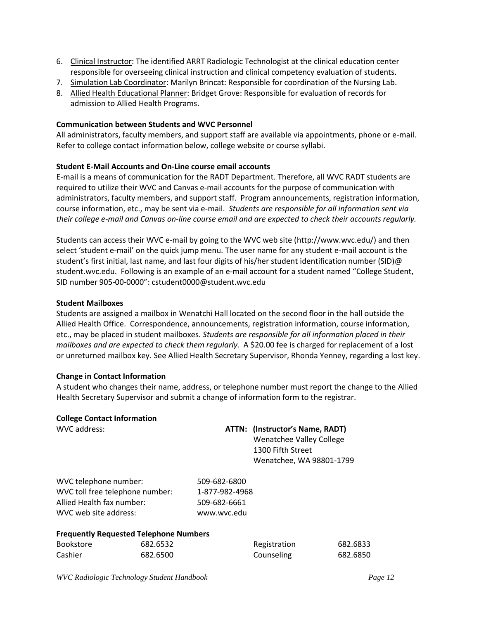- 6. Clinical Instructor: The identified ARRT Radiologic Technologist at the clinical education center responsible for overseeing clinical instruction and clinical competency evaluation of students.
- 7. Simulation Lab Coordinator: Marilyn Brincat: Responsible for coordination of the Nursing Lab.
- 8. Allied Health Educational Planner: Bridget Grove: Responsible for evaluation of records for admission to Allied Health Programs.

## **Communication between Students and WVC Personnel**

All administrators, faculty members, and support staff are available via appointments, phone or e-mail. Refer to college contact information below, college website or course syllabi.

## **Student E-Mail Accounts and On-Line course email accounts**

E-mail is a means of communication for the RADT Department. Therefore, all WVC RADT students are required to utilize their WVC and Canvas e-mail accounts for the purpose of communication with administrators, faculty members, and support staff. Program announcements, registration information, course information, etc., may be sent via e-mail. *Students are responsible for all information sent via their college e-mail and Canvas on-line course email and are expected to check their accounts regularly.*

Students can access their WVC e-mail by going to the WVC web site (http://www.wvc.edu/) and then select 'student e-mail' on the quick jump menu. The user name for any student e-mail account is the student's first initial, last name, and last four digits of his/her student identification number (SID)@ student.wvc.edu. Following is an example of an e-mail account for a student named "College Student, SID number 905-00-0000": cstudent0000@student.wvc.edu

#### **Student Mailboxes**

Students are assigned a mailbox in Wenatchi Hall located on the second floor in the hall outside the Allied Health Office. Correspondence, announcements, registration information, course information, etc., may be placed in student mailboxes. *Students are responsible for all information placed in their mailboxes and are expected to check them regularly.* A \$20.00 fee is charged for replacement of a lost or unreturned mailbox key. See Allied Health Secretary Supervisor, Rhonda Yenney, regarding a lost key.

## **Change in Contact Information**

A student who changes their name, address, or telephone number must report the change to the Allied Health Secretary Supervisor and submit a change of information form to the registrar.

#### **College Contact Information**

## WVC address: **ATTN: (Instructor's Name, RADT)**

Wenatchee Valley College 1300 Fifth Street Wenatchee, WA 98801-1799

WVC telephone number: 509-682-6800 WVC toll free telephone number: 1-877-982-4968 Allied Health fax number: 509-682-6661 WVC web site address: www.wvc.edu

#### **Frequently Requested Telephone Numbers**

| <b>Bookstore</b> | 682.6532 | Registration | 682.6833 |
|------------------|----------|--------------|----------|
| Cashier          | 682.6500 | Counseling   | 682.6850 |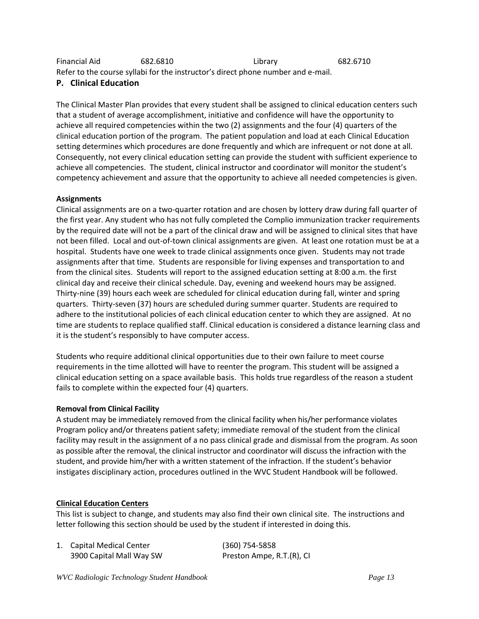| Financial Aid | 682.6810                                                                         | Library | 682.6710 |
|---------------|----------------------------------------------------------------------------------|---------|----------|
|               | Refer to the course syllabi for the instructor's direct phone number and e-mail. |         |          |

## **P. Clinical Education**

The Clinical Master Plan provides that every student shall be assigned to clinical education centers such that a student of average accomplishment, initiative and confidence will have the opportunity to achieve all required competencies within the two (2) assignments and the four (4) quarters of the clinical education portion of the program. The patient population and load at each Clinical Education setting determines which procedures are done frequently and which are infrequent or not done at all. Consequently, not every clinical education setting can provide the student with sufficient experience to achieve all competencies. The student, clinical instructor and coordinator will monitor the student's competency achievement and assure that the opportunity to achieve all needed competencies is given.

## **Assignments**

Clinical assignments are on a two-quarter rotation and are chosen by lottery draw during fall quarter of the first year. Any student who has not fully completed the Complio immunization tracker requirements by the required date will not be a part of the clinical draw and will be assigned to clinical sites that have not been filled. Local and out-of-town clinical assignments are given. At least one rotation must be at a hospital. Students have one week to trade clinical assignments once given. Students may not trade assignments after that time. Students are responsible for living expenses and transportation to and from the clinical sites. Students will report to the assigned education setting at 8:00 a.m. the first clinical day and receive their clinical schedule. Day, evening and weekend hours may be assigned. Thirty-nine (39) hours each week are scheduled for clinical education during fall, winter and spring quarters. Thirty-seven (37) hours are scheduled during summer quarter. Students are required to adhere to the institutional policies of each clinical education center to which they are assigned. At no time are students to replace qualified staff. Clinical education is considered a distance learning class and it is the student's responsibly to have computer access.

Students who require additional clinical opportunities due to their own failure to meet course requirements in the time allotted will have to reenter the program. This student will be assigned a clinical education setting on a space available basis. This holds true regardless of the reason a student fails to complete within the expected four (4) quarters.

## **Removal from Clinical Facility**

A student may be immediately removed from the clinical facility when his/her performance violates Program policy and/or threatens patient safety; immediate removal of the student from the clinical facility may result in the assignment of a no pass clinical grade and dismissal from the program. As soon as possible after the removal, the clinical instructor and coordinator will discuss the infraction with the student, and provide him/her with a written statement of the infraction. If the student's behavior instigates disciplinary action, procedures outlined in the WVC Student Handbook will be followed.

## **Clinical Education Centers**

This list is subject to change, and students may also find their own clinical site. The instructions and letter following this section should be used by the student if interested in doing this.

| 1. Capital Medical Center | $(360)$ 754-5858          |  |
|---------------------------|---------------------------|--|
| 3900 Capital Mall Way SW  | Preston Ampe, R.T.(R), CI |  |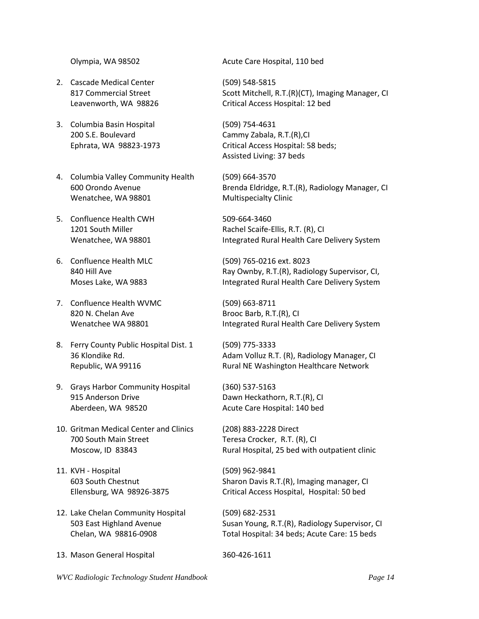Olympia, WA 98502

- 2. Cascade Medical Center 817 Commercial Street Leavenworth, WA 98826
- 3. Columbia Basin Hospital 200 S.E. Boulevard Ephrata, WA 98823-1973
- 4. Columbia Valley Community Health 600 Orondo Avenue Wenatchee, WA 98801
- 5. Confluence Health CWH 1201 South Miller Wenatchee, WA 98801
- 6. Confluence Health MLC 840 Hill Ave Moses Lake, WA 9883
- 7. Confluence Health WVMC 820 N. Chelan Ave Wenatchee WA 98801
- 8. Ferry County Public Hospital Dist. 1 36 Klondike Rd. Republic, WA 99116
- 9. Grays Harbor Community Hospital 915 Anderson Drive Aberdeen, WA 98520
- 10. Gritman Medical Center and Clinics 700 South Main Street Moscow, ID 83843
- 11. KVH Hospital 603 South Chestnut Ellensburg, WA 98926-3875
- 12. Lake Chelan Community Hospital 503 East Highland Avenue Chelan, WA 98816-0908
- 13. Mason General Hospital 360-426-1611

Acute Care Hospital, 110 bed

(509) 548-5815 Scott Mitchell, R.T.(R)(CT), Imaging Manager, CI Critical Access Hospital: 12 bed

(509) 754-4631 Cammy Zabala, R.T.(R),CI Critical Access Hospital: 58 beds; Assisted Living: 37 beds

(509) 664-3570 Brenda Eldridge, R.T.(R), Radiology Manager, CI Multispecialty Clinic

509-664-3460 Rachel Scaife-Ellis, R.T. (R), CI Integrated Rural Health Care Delivery System

(509) 765-0216 ext. 8023 Ray Ownby, R.T.(R), Radiology Supervisor, CI, Integrated Rural Health Care Delivery System

(509) 663-8711 Brooc Barb, R.T.(R), CI Integrated Rural Health Care Delivery System

(509) 775-3333 Adam Volluz R.T. (R), Radiology Manager, CI Rural NE Washington Healthcare Network

(360) 537-5163 Dawn Heckathorn, R.T.(R), CI Acute Care Hospital: 140 bed

(208) 883-2228 Direct Teresa Crocker, R.T. (R), CI Rural Hospital, 25 bed with outpatient clinic

(509) 962-9841 Sharon Davis R.T.(R), Imaging manager, CI Critical Access Hospital, Hospital: 50 bed

(509) 682-2531 Susan Young, R.T.(R), Radiology Supervisor, CI Total Hospital: 34 beds; Acute Care: 15 beds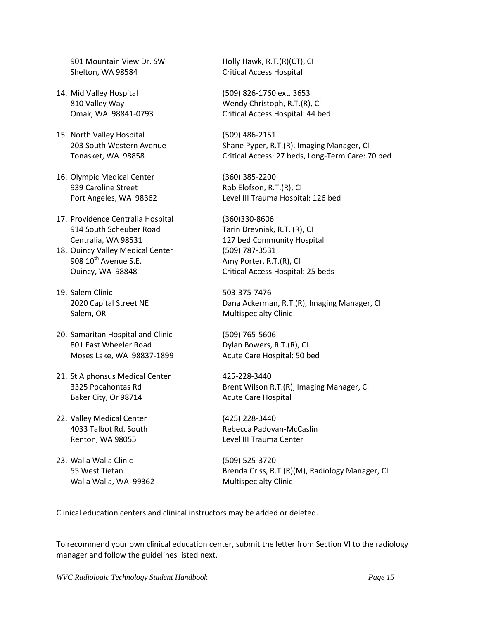901 Mountain View Dr. SW Shelton, WA 98584

- 14. Mid Valley Hospital 810 Valley Way Omak, WA 98841-0793
- 15. North Valley Hospital 203 South Western Avenue Tonasket, WA 98858
- 16. Olympic Medical Center 939 Caroline Street Port Angeles, WA 98362
- 17. Providence Centralia Hospital 914 South Scheuber Road Centralia, WA 98531
- 18. Quincy Valley Medical Center 908  $10^{th}$  Avenue S.E. Quincy, WA 98848
- 19. Salem Clinic 2020 Capital Street NE Salem, OR
- 20. Samaritan Hospital and Clinic 801 East Wheeler Road Moses Lake, WA 98837-1899
- 21. St Alphonsus Medical Center 3325 Pocahontas Rd Baker City, Or 98714
- 22. Valley Medical Center 4033 Talbot Rd. South Renton, WA 98055
- 23. Walla Walla Clinic 55 West Tietan Walla Walla, WA 99362

Holly Hawk, R.T.(R)(CT), CI Critical Access Hospital

(509) 826-1760 ext. 3653 Wendy Christoph, R.T.(R), CI Critical Access Hospital: 44 bed

(509) 486-2151 Shane Pyper, R.T.(R), Imaging Manager, CI Critical Access: 27 beds, Long-Term Care: 70 bed

(360) 385-2200 Rob Elofson, R.T.(R), CI Level III Trauma Hospital: 126 bed

(360)330-8606 Tarin Drevniak, R.T. (R), CI 127 bed Community Hospital (509) 787-3531 Amy Porter, R.T.(R), CI Critical Access Hospital: 25 beds

503-375-7476 Dana Ackerman, R.T.(R), Imaging Manager, CI Multispecialty Clinic

(509) 765-5606 Dylan Bowers, R.T.(R), CI Acute Care Hospital: 50 bed

425-228-3440 Brent Wilson R.T.(R), Imaging Manager, CI Acute Care Hospital

(425) 228-3440 Rebecca Padovan-McCaslin Level III Trauma Center

(509) 525-3720 Brenda Criss, R.T.(R)(M), Radiology Manager, CI Multispecialty Clinic

Clinical education centers and clinical instructors may be added or deleted.

To recommend your own clinical education center, submit the letter from Section VI to the radiology manager and follow the guidelines listed next.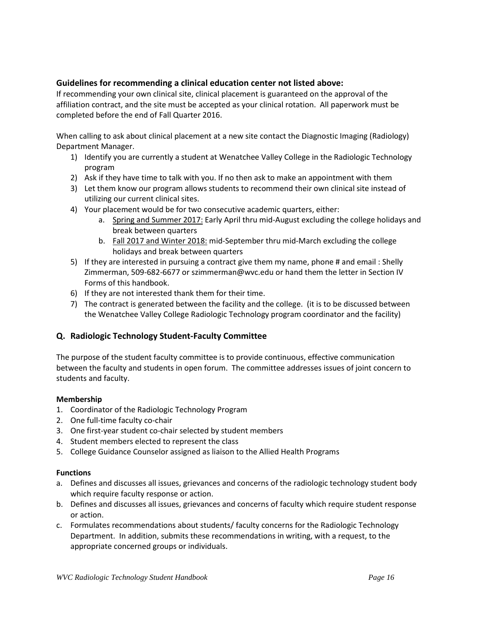## **Guidelines for recommending a clinical education center not listed above:**

If recommending your own clinical site, clinical placement is guaranteed on the approval of the affiliation contract, and the site must be accepted as your clinical rotation. All paperwork must be completed before the end of Fall Quarter 2016.

When calling to ask about clinical placement at a new site contact the Diagnostic Imaging (Radiology) Department Manager.

- 1) Identify you are currently a student at Wenatchee Valley College in the Radiologic Technology program
- 2) Ask if they have time to talk with you. If no then ask to make an appointment with them
- 3) Let them know our program allows students to recommend their own clinical site instead of utilizing our current clinical sites.
- 4) Your placement would be for two consecutive academic quarters, either:
	- a. Spring and Summer 2017: Early April thru mid-August excluding the college holidays and break between quarters
	- b. Fall 2017 and Winter 2018: mid-September thru mid-March excluding the college holidays and break between quarters
- 5) If they are interested in pursuing a contract give them my name, phone # and email : Shelly Zimmerman, 509-682-6677 or szimmerman@wvc.edu or hand them the letter in Section IV Forms of this handbook.
- 6) If they are not interested thank them for their time.
- 7) The contract is generated between the facility and the college. (it is to be discussed between the Wenatchee Valley College Radiologic Technology program coordinator and the facility)

## **Q. Radiologic Technology Student-Faculty Committee**

The purpose of the student faculty committee is to provide continuous, effective communication between the faculty and students in open forum. The committee addresses issues of joint concern to students and faculty.

## **Membership**

- 1. Coordinator of the Radiologic Technology Program
- 2. One full-time faculty co-chair
- 3. One first-year student co-chair selected by student members
- 4. Student members elected to represent the class
- 5. College Guidance Counselor assigned as liaison to the Allied Health Programs

## **Functions**

- a. Defines and discusses all issues, grievances and concerns of the radiologic technology student body which require faculty response or action.
- b. Defines and discusses all issues, grievances and concerns of faculty which require student response or action.
- c. Formulates recommendations about students/ faculty concerns for the Radiologic Technology Department. In addition, submits these recommendations in writing, with a request, to the appropriate concerned groups or individuals.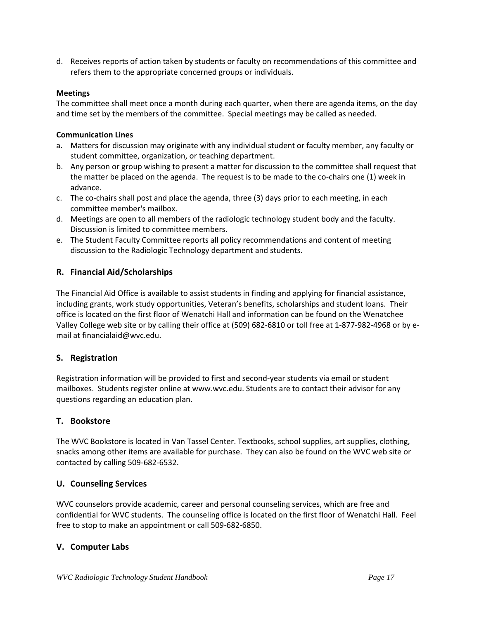d. Receives reports of action taken by students or faculty on recommendations of this committee and refers them to the appropriate concerned groups or individuals.

## **Meetings**

The committee shall meet once a month during each quarter, when there are agenda items, on the day and time set by the members of the committee. Special meetings may be called as needed.

## **Communication Lines**

- a. Matters for discussion may originate with any individual student or faculty member, any faculty or student committee, organization, or teaching department.
- b. Any person or group wishing to present a matter for discussion to the committee shall request that the matter be placed on the agenda. The request is to be made to the co-chairs one (1) week in advance.
- c. The co-chairs shall post and place the agenda, three (3) days prior to each meeting, in each committee member's mailbox.
- d. Meetings are open to all members of the radiologic technology student body and the faculty. Discussion is limited to committee members.
- e. The Student Faculty Committee reports all policy recommendations and content of meeting discussion to the Radiologic Technology department and students.

## **R. Financial Aid/Scholarships**

The Financial Aid Office is available to assist students in finding and applying for financial assistance, including grants, work study opportunities, Veteran's benefits, scholarships and student loans. Their office is located on the first floor of Wenatchi Hall and information can be found on the Wenatchee Valley College web site or by calling their office at (509) 682-6810 or toll free at 1-877-982-4968 or by email at financialaid@wvc.edu.

## **S. Registration**

Registration information will be provided to first and second-year students via email or student mailboxes. Students register online at www.wvc.edu. Students are to contact their advisor for any questions regarding an education plan.

## **T. Bookstore**

The WVC Bookstore is located in Van Tassel Center. Textbooks, school supplies, art supplies, clothing, snacks among other items are available for purchase. They can also be found on the WVC web site or contacted by calling 509-682-6532.

## **U. Counseling Services**

WVC counselors provide academic, career and personal counseling services, which are free and confidential for WVC students. The counseling office is located on the first floor of Wenatchi Hall. Feel free to stop to make an appointment or call 509-682-6850.

## **V. Computer Labs**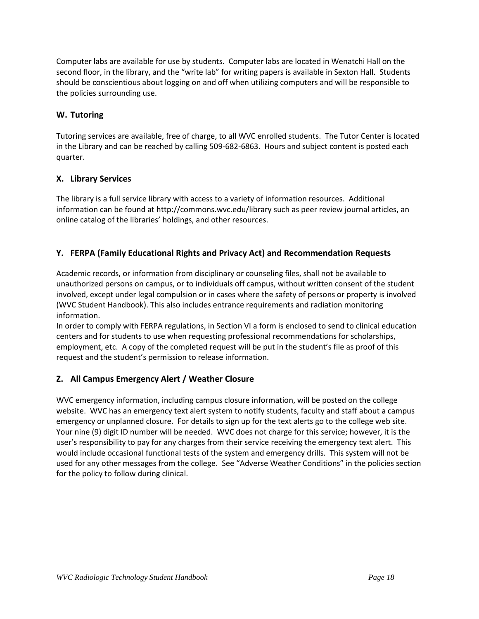Computer labs are available for use by students. Computer labs are located in Wenatchi Hall on the second floor, in the library, and the "write lab" for writing papers is available in Sexton Hall. Students should be conscientious about logging on and off when utilizing computers and will be responsible to the policies surrounding use.

## **W. Tutoring**

Tutoring services are available, free of charge, to all WVC enrolled students. The Tutor Center is located in the Library and can be reached by calling 509-682-6863. Hours and subject content is posted each quarter.

## **X. Library Services**

The library is a full service library with access to a variety of information resources. Additional information can be found at http://commons.wvc.edu/library such as peer review journal articles, an online catalog of the libraries' holdings, and other resources.

## **Y. FERPA (Family Educational Rights and Privacy Act) and Recommendation Requests**

Academic records, or information from disciplinary or counseling files, shall not be available to unauthorized persons on campus, or to individuals off campus, without written consent of the student involved, except under legal compulsion or in cases where the safety of persons or property is involved (WVC Student Handbook). This also includes entrance requirements and radiation monitoring information.

In order to comply with FERPA regulations, in Section VI a form is enclosed to send to clinical education centers and for students to use when requesting professional recommendations for scholarships, employment, etc. A copy of the completed request will be put in the student's file as proof of this request and the student's permission to release information.

## **Z. All Campus Emergency Alert / Weather Closure**

WVC emergency information, including campus closure information, will be posted on the college website. WVC has an emergency text alert system to notify students, faculty and staff about a campus emergency or unplanned closure. For details to sign up for the text alerts go to the college web site. Your nine (9) digit ID number will be needed. WVC does not charge for this service; however, it is the user's responsibility to pay for any charges from their service receiving the emergency text alert. This would include occasional functional tests of the system and emergency drills. This system will not be used for any other messages from the college. See "Adverse Weather Conditions" in the policies section for the policy to follow during clinical.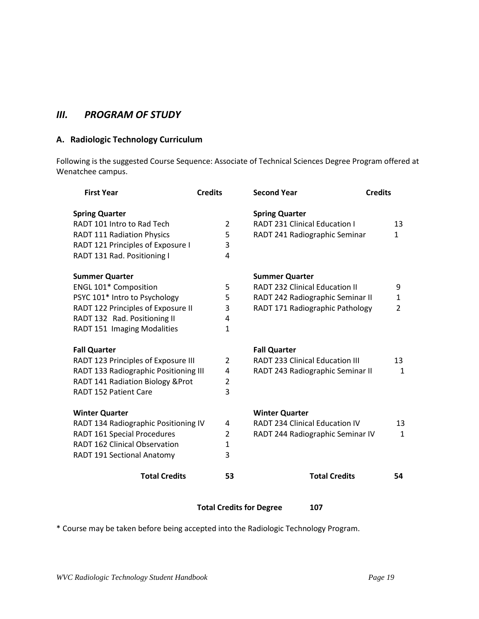## *III. PROGRAM OF STUDY*

## **A. Radiologic Technology Curriculum**

Following is the suggested Course Sequence: Associate of Technical Sciences Degree Program offered at Wenatchee campus.

| <b>First Year</b>                     | <b>Credits</b> | <b>Second Year</b>                     | <b>Credits</b> |
|---------------------------------------|----------------|----------------------------------------|----------------|
| <b>Spring Quarter</b>                 |                | <b>Spring Quarter</b>                  |                |
| RADT 101 Intro to Rad Tech            | $\overline{2}$ | <b>RADT 231 Clinical Education I</b>   | 13             |
| RADT 111 Radiation Physics            | 5              | RADT 241 Radiographic Seminar          | $\mathbf{1}$   |
| RADT 121 Principles of Exposure I     | 3              |                                        |                |
| RADT 131 Rad. Positioning I           | $\overline{4}$ |                                        |                |
| <b>Summer Quarter</b>                 |                | <b>Summer Quarter</b>                  |                |
| ENGL 101* Composition                 | 5              | <b>RADT 232 Clinical Education II</b>  | 9              |
| PSYC 101* Intro to Psychology         | 5              | RADT 242 Radiographic Seminar II       | $\mathbf{1}$   |
| RADT 122 Principles of Exposure II    | 3              | RADT 171 Radiographic Pathology        | $\overline{2}$ |
| RADT 132 Rad. Positioning II          | 4              |                                        |                |
| RADT 151 Imaging Modalities           | $\mathbf{1}$   |                                        |                |
| <b>Fall Quarter</b>                   |                | <b>Fall Quarter</b>                    |                |
| RADT 123 Principles of Exposure III   | $\overline{2}$ | <b>RADT 233 Clinical Education III</b> | 13             |
| RADT 133 Radiographic Positioning III | 4              | RADT 243 Radiographic Seminar II       | $\mathbf{1}$   |
| RADT 141 Radiation Biology & Prot     | $\overline{2}$ |                                        |                |
| <b>RADT 152 Patient Care</b>          | 3              |                                        |                |
| <b>Winter Quarter</b>                 |                | <b>Winter Quarter</b>                  |                |
| RADT 134 Radiographic Positioning IV  | 4              | <b>RADT 234 Clinical Education IV</b>  | 13             |
| RADT 161 Special Procedures           | $\overline{2}$ | RADT 244 Radiographic Seminar IV       | $\mathbf{1}$   |
| <b>RADT 162 Clinical Observation</b>  | $\mathbf{1}$   |                                        |                |
| RADT 191 Sectional Anatomy            | 3              |                                        |                |
| <b>Total Credits</b>                  | 53             | <b>Total Credits</b>                   | 54             |

## **Total Credits for Degree 107**

\* Course may be taken before being accepted into the Radiologic Technology Program.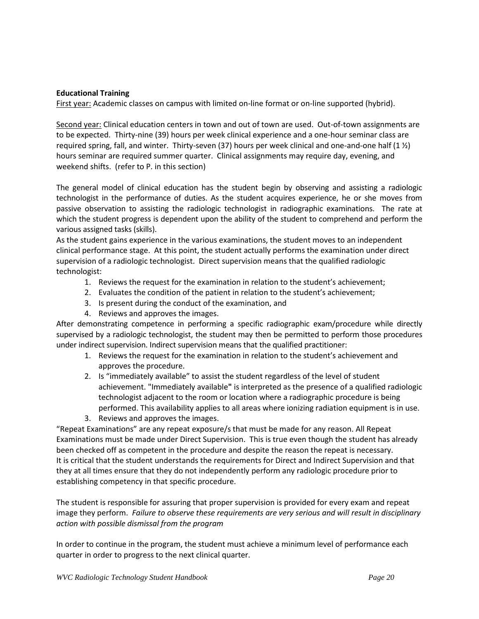#### **Educational Training**

First year: Academic classes on campus with limited on-line format or on-line supported (hybrid).

Second year: Clinical education centers in town and out of town are used. Out-of-town assignments are to be expected. Thirty-nine (39) hours per week clinical experience and a one-hour seminar class are required spring, fall, and winter. Thirty-seven (37) hours per week clinical and one-and-one half (1 $\frac{1}{2}$ ) hours seminar are required summer quarter. Clinical assignments may require day, evening, and weekend shifts. (refer to P. in this section)

The general model of clinical education has the student begin by observing and assisting a radiologic technologist in the performance of duties. As the student acquires experience, he or she moves from passive observation to assisting the radiologic technologist in radiographic examinations. The rate at which the student progress is dependent upon the ability of the student to comprehend and perform the various assigned tasks (skills).

As the student gains experience in the various examinations, the student moves to an independent clinical performance stage. At this point, the student actually performs the examination under direct supervision of a radiologic technologist. Direct supervision means that the qualified radiologic technologist:

- 1. Reviews the request for the examination in relation to the student's achievement;
- 2. Evaluates the condition of the patient in relation to the student's achievement;
- 3. Is present during the conduct of the examination, and
- 4. Reviews and approves the images.

After demonstrating competence in performing a specific radiographic exam/procedure while directly supervised by a radiologic technologist, the student may then be permitted to perform those procedures under indirect supervision. Indirect supervision means that the qualified practitioner:

- 1. Reviews the request for the examination in relation to the student's achievement and approves the procedure.
- 2. Is "immediately available" to assist the student regardless of the level of student achievement. "Immediately available**"** is interpreted as the presence of a qualified radiologic technologist adjacent to the room or location where a radiographic procedure is being performed. This availability applies to all areas where ionizing radiation equipment is in use.
- 3. Reviews and approves the images.

"Repeat Examinations" are any repeat exposure/s that must be made for any reason. All Repeat Examinations must be made under Direct Supervision. This is true even though the student has already been checked off as competent in the procedure and despite the reason the repeat is necessary. It is critical that the student understands the requirements for Direct and Indirect Supervision and that they at all times ensure that they do not independently perform any radiologic procedure prior to establishing competency in that specific procedure.

The student is responsible for assuring that proper supervision is provided for every exam and repeat image they perform. *Failure to observe these requirements are very serious and will result in disciplinary action with possible dismissal from the program*

In order to continue in the program, the student must achieve a minimum level of performance each quarter in order to progress to the next clinical quarter.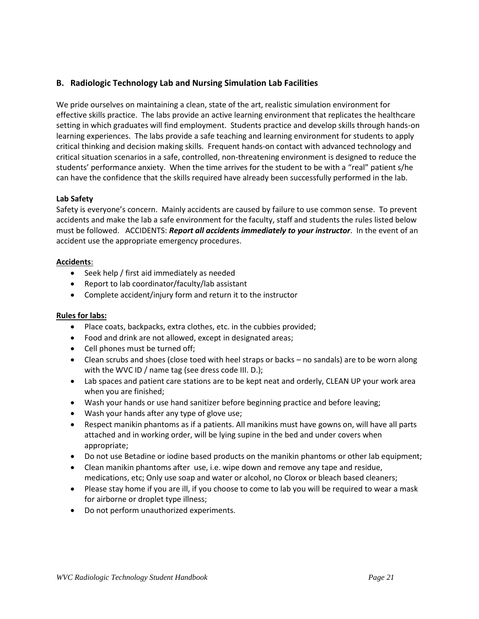## **B. Radiologic Technology Lab and Nursing Simulation Lab Facilities**

We pride ourselves on maintaining a clean, state of the art, realistic simulation environment for effective skills practice. The labs provide an active learning environment that replicates the healthcare setting in which graduates will find employment. Students practice and develop skills through hands-on learning experiences. The labs provide a safe teaching and learning environment for students to apply critical thinking and decision making skills. Frequent hands-on contact with advanced technology and critical situation scenarios in a safe, controlled, non-threatening environment is designed to reduce the students' performance anxiety. When the time arrives for the student to be with a "real" patient s/he can have the confidence that the skills required have already been successfully performed in the lab.

## **Lab Safety**

Safety is everyone's concern. Mainly accidents are caused by failure to use common sense. To prevent accidents and make the lab a safe environment for the faculty, staff and students the rules listed below must be followed. ACCIDENTS: *Report all accidents immediately to your instructor*. In the event of an accident use the appropriate emergency procedures.

## **Accidents**:

- Seek help / first aid immediately as needed
- Report to lab coordinator/faculty/lab assistant
- Complete accident/injury form and return it to the instructor

## **Rules for labs:**

- Place coats, backpacks, extra clothes, etc. in the cubbies provided;
- Food and drink are not allowed, except in designated areas;
- Cell phones must be turned off;
- Clean scrubs and shoes (close toed with heel straps or backs no sandals) are to be worn along with the WVC ID / name tag (see dress code III. D.);
- Lab spaces and patient care stations are to be kept neat and orderly, CLEAN UP your work area when you are finished;
- Wash your hands or use hand sanitizer before beginning practice and before leaving;
- Wash your hands after any type of glove use;
- Respect manikin phantoms as if a patients. All manikins must have gowns on, will have all parts attached and in working order, will be lying supine in the bed and under covers when appropriate;
- Do not use Betadine or iodine based products on the manikin phantoms or other lab equipment;
- Clean manikin phantoms after use, i.e. wipe down and remove any tape and residue, medications, etc; Only use soap and water or alcohol, no Clorox or bleach based cleaners;
- Please stay home if you are ill, if you choose to come to lab you will be required to wear a mask for airborne or droplet type illness;
- Do not perform unauthorized experiments.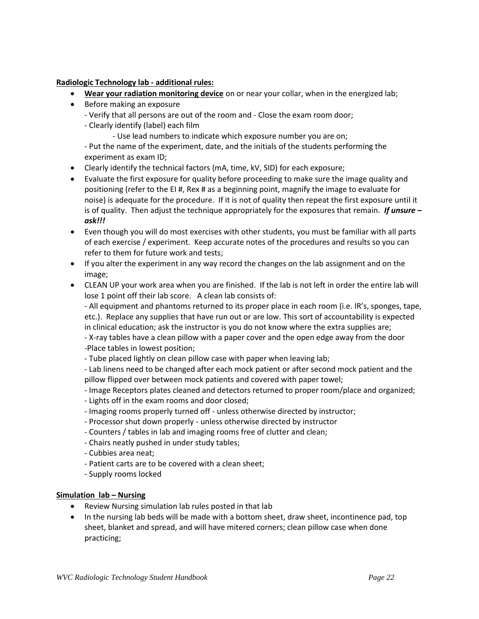**Radiologic Technology lab - additional rules:**

- **Wear your radiation monitoring device** on or near your collar, when in the energized lab;
- Before making an exposure
	- Verify that all persons are out of the room and Close the exam room door;
	- Clearly identify (label) each film
		- Use lead numbers to indicate which exposure number you are on;

- Put the name of the experiment, date, and the initials of the students performing the experiment as exam ID;

- Clearly identify the technical factors (mA, time, kV, SID) for each exposure;
- Evaluate the first exposure for quality before proceeding to make sure the image quality and positioning (refer to the EI #, Rex # as a beginning point, magnify the image to evaluate for noise) is adequate for the procedure. If it is not of quality then repeat the first exposure until it is of quality. Then adjust the technique appropriately for the exposures that remain. *If unsure – ask!!!*
- Even though you will do most exercises with other students, you must be familiar with all parts of each exercise / experiment. Keep accurate notes of the procedures and results so you can refer to them for future work and tests;
- If you alter the experiment in any way record the changes on the lab assignment and on the image;
- CLEAN UP your work area when you are finished. If the lab is not left in order the entire lab will lose 1 point off their lab score. A clean lab consists of:

- All equipment and phantoms returned to its proper place in each room (i.e. IR's, sponges, tape, etc.). Replace any supplies that have run out or are low. This sort of accountability is expected in clinical education; ask the instructor is you do not know where the extra supplies are;

- X-ray tables have a clean pillow with a paper cover and the open edge away from the door -Place tables in lowest position;

- Tube placed lightly on clean pillow case with paper when leaving lab;

- Lab linens need to be changed after each mock patient or after second mock patient and the pillow flipped over between mock patients and covered with paper towel;

- Image Receptors plates cleaned and detectors returned to proper room/place and organized;
- Lights off in the exam rooms and door closed;
- Imaging rooms properly turned off unless otherwise directed by instructor;
- Processor shut down properly unless otherwise directed by instructor
- Counters / tables in lab and imaging rooms free of clutter and clean;
- Chairs neatly pushed in under study tables;
- Cubbies area neat;
- Patient carts are to be covered with a clean sheet;
- Supply rooms locked

## **Simulation lab – Nursing**

- Review Nursing simulation lab rules posted in that lab
- In the nursing lab beds will be made with a bottom sheet, draw sheet, incontinence pad, top sheet, blanket and spread, and will have mitered corners; clean pillow case when done practicing;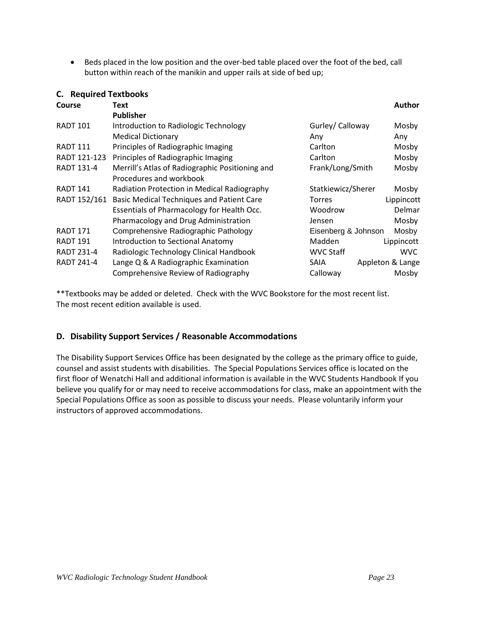Beds placed in the low position and the over-bed table placed over the foot of the bed, call button within reach of the manikin and upper rails at side of bed up;

| <b>C.</b> Required Textbooks |                                                  |                           |                  |  |
|------------------------------|--------------------------------------------------|---------------------------|------------------|--|
| Course                       | Text                                             |                           |                  |  |
|                              | <b>Publisher</b>                                 |                           |                  |  |
| <b>RADT 101</b>              | Introduction to Radiologic Technology            | Gurley/ Calloway          | Mosby            |  |
|                              | <b>Medical Dictionary</b>                        | Any                       | Any              |  |
| <b>RADT 111</b>              | Principles of Radiographic Imaging               | Carlton                   | Mosby            |  |
| RADT 121-123                 | Principles of Radiographic Imaging               | Carlton                   | Mosby            |  |
| RADT 131-4                   | Merrill's Atlas of Radiographic Positioning and  | Frank/Long/Smith<br>Mosby |                  |  |
|                              | Procedures and workbook                          |                           |                  |  |
| <b>RADT 141</b>              | Radiation Protection in Medical Radiography      | Statkiewicz/Sherer        | Mosby            |  |
| RADT 152/161                 | <b>Basic Medical Techniques and Patient Care</b> | <b>Torres</b>             | Lippincott       |  |
|                              | Essentials of Pharmacology for Health Occ.       | Woodrow                   | Delmar           |  |
|                              | Pharmacology and Drug Administration             | Jensen                    | Mosby            |  |
| <b>RADT 171</b>              | Comprehensive Radiographic Pathology             | Eisenberg & Johnson       | Mosby            |  |
| <b>RADT 191</b>              | Introduction to Sectional Anatomy                | Madden                    | Lippincott       |  |
| RADT 231-4                   | Radiologic Technology Clinical Handbook          | <b>WVC Staff</b>          | <b>WVC</b>       |  |
| <b>RADT 241-4</b>            | Lange Q & A Radiographic Examination             | SAIA                      | Appleton & Lange |  |
|                              | Comprehensive Review of Radiography              | Calloway                  | Mosby            |  |

\*\*Textbooks may be added or deleted. Check with the WVC Bookstore for the most recent list. The most recent edition available is used.

## **D. Disability Support Services / Reasonable Accommodations**

The Disability Support Services Office has been designated by the college as the primary office to guide, counsel and assist students with disabilities. The Special Populations Services office is located on the first floor of Wenatchi Hall and additional information is available in the WVC Students Handbook If you believe you qualify for or may need to receive accommodations for class, make an appointment with the Special Populations Office as soon as possible to discuss your needs. Please voluntarily inform your instructors of approved accommodations.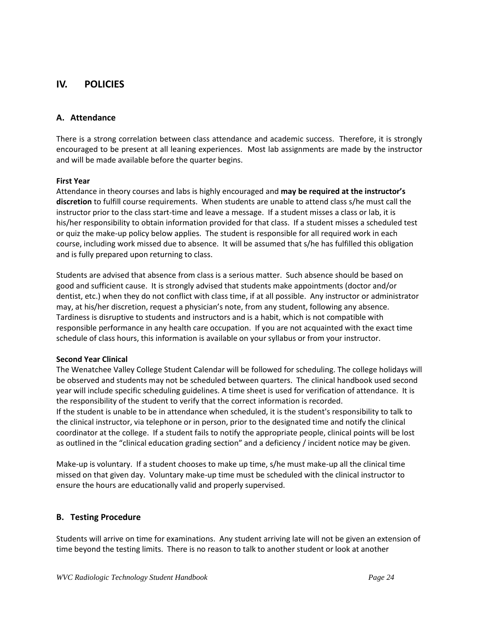## **IV. POLICIES**

## **A. Attendance**

There is a strong correlation between class attendance and academic success. Therefore, it is strongly encouraged to be present at all leaning experiences. Most lab assignments are made by the instructor and will be made available before the quarter begins.

## **First Year**

Attendance in theory courses and labs is highly encouraged and **may be required at the instructor's discretion** to fulfill course requirements. When students are unable to attend class s/he must call the instructor prior to the class start-time and leave a message. If a student misses a class or lab, it is his/her responsibility to obtain information provided for that class. If a student misses a scheduled test or quiz the make-up policy below applies. The student is responsible for all required work in each course, including work missed due to absence. It will be assumed that s/he has fulfilled this obligation and is fully prepared upon returning to class.

Students are advised that absence from class is a serious matter. Such absence should be based on good and sufficient cause. It is strongly advised that students make appointments (doctor and/or dentist, etc.) when they do not conflict with class time, if at all possible. Any instructor or administrator may, at his/her discretion, request a physician's note, from any student, following any absence. Tardiness is disruptive to students and instructors and is a habit, which is not compatible with responsible performance in any health care occupation. If you are not acquainted with the exact time schedule of class hours, this information is available on your syllabus or from your instructor.

## **Second Year Clinical**

The Wenatchee Valley College Student Calendar will be followed for scheduling. The college holidays will be observed and students may not be scheduled between quarters. The clinical handbook used second year will include specific scheduling guidelines. A time sheet is used for verification of attendance. It is the responsibility of the student to verify that the correct information is recorded.

If the student is unable to be in attendance when scheduled, it is the student's responsibility to talk to the clinical instructor, via telephone or in person, prior to the designated time and notify the clinical coordinator at the college. If a student fails to notify the appropriate people, clinical points will be lost as outlined in the "clinical education grading section" and a deficiency / incident notice may be given.

Make-up is voluntary. If a student chooses to make up time, s/he must make-up all the clinical time missed on that given day. Voluntary make-up time must be scheduled with the clinical instructor to ensure the hours are educationally valid and properly supervised.

## **B. Testing Procedure**

Students will arrive on time for examinations. Any student arriving late will not be given an extension of time beyond the testing limits. There is no reason to talk to another student or look at another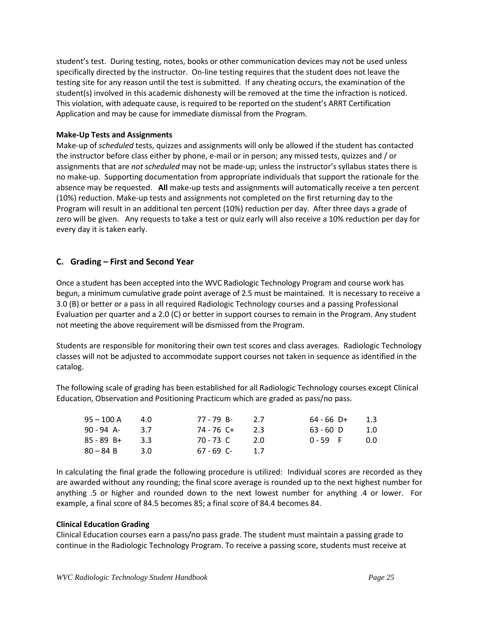student's test.During testing, notes, books or other communication devices may not be used unless specifically directed by the instructor. On-line testing requires that the student does not leave the testing site for any reason until the test is submitted. If any cheating occurs, the examination of the student(s) involved in this academic dishonesty will be removed at the time the infraction is noticed. This violation, with adequate cause, is required to be reported on the student's ARRT Certification Application and may be cause for immediate dismissal from the Program.

## **Make-Up Tests and Assignments**

Make-up of *scheduled* tests, quizzes and assignments will only be allowed if the student has contacted the instructor before class either by phone, e-mail or in person; any missed tests, quizzes and / or assignments that are *not scheduled* may not be made-up; unless the instructor's syllabus states there is no make-up. Supporting documentation from appropriate individuals that support the rationale for the absence may be requested. **All** make-up tests and assignments will automatically receive a ten percent (10%) reduction. Make-up tests and assignments not completed on the first returning day to the Program will result in an additional ten percent (10%) reduction per day. After three days a grade of zero will be given. Any requests to take a test or quiz early will also receive a 10% reduction per day for every day it is taken early.

## **C. Grading – First and Second Year**

Once a student has been accepted into the WVC Radiologic Technology Program and course work has begun, a minimum cumulative grade point average of 2.5 must be maintained*.* It is necessary to receive a 3.0 (B) or better or a pass in all required Radiologic Technology courses and a passing Professional Evaluation per quarter and a 2.0 (C) or better in support courses to remain in the Program. Any student not meeting the above requirement will be dismissed from the Program.

Students are responsible for monitoring their own test scores and class averages. Radiologic Technology classes will not be adjusted to accommodate support courses not taken in sequence as identified in the catalog.

The following scale of grading has been established for all Radiologic Technology courses except Clinical Education, Observation and Positioning Practicum which are graded as pass/no pass.

| $95 - 100$ A 4.0 |        | 77 - 79 B-       | 2.7 | 64-66 D+   | 1.3 |
|------------------|--------|------------------|-----|------------|-----|
| 90 - 94 A-       | $-3.7$ | 74 - 76 C+       | 2.3 | 63 - 60 D  | 1.0 |
| $85 - 89$ B+     | 3.3    | 70 - 73 C 2.0    |     | $0 - 59$ F | 0.0 |
| $80 - 84 B$ 3.0  |        | $67 - 69$ C- 1.7 |     |            |     |

In calculating the final grade the following procedure is utilized: Individual scores are recorded as they are awarded without any rounding; the final score average is rounded up to the next highest number for anything .5 or higher and rounded down to the next lowest number for anything .4 or lower. For example, a final score of 84.5 becomes 85; a final score of 84.4 becomes 84.

## **Clinical Education Grading**

Clinical Education courses earn a pass/no pass grade. The student must maintain a passing grade to continue in the Radiologic Technology Program. To receive a passing score, students must receive at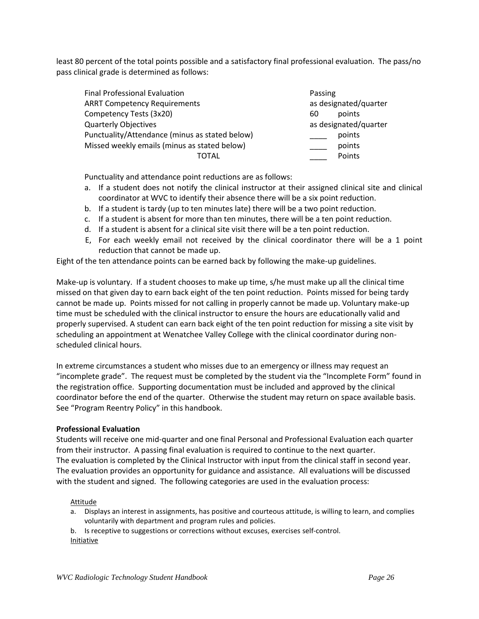least 80 percent of the total points possible and a satisfactory final professional evaluation. The pass/no pass clinical grade is determined as follows:

| <b>Final Professional Evaluation</b>           | Passing               |
|------------------------------------------------|-----------------------|
| <b>ARRT Competency Requirements</b>            | as designated/quarter |
| Competency Tests (3x20)                        | points<br>60          |
| <b>Quarterly Objectives</b>                    | as designated/quarter |
| Punctuality/Attendance (minus as stated below) | points                |
| Missed weekly emails (minus as stated below)   | points                |
| TOTAL                                          | Points                |

Punctuality and attendance point reductions are as follows:

- a. If a student does not notify the clinical instructor at their assigned clinical site and clinical coordinator at WVC to identify their absence there will be a six point reduction.
- b. If a student is tardy (up to ten minutes late) there will be a two point reduction.
- c. If a student is absent for more than ten minutes, there will be a ten point reduction.
- d. If a student is absent for a clinical site visit there will be a ten point reduction.
- E, For each weekly email not received by the clinical coordinator there will be a 1 point reduction that cannot be made up.

Eight of the ten attendance points can be earned back by following the make-up guidelines.

Make-up is voluntary. If a student chooses to make up time, s/he must make up all the clinical time missed on that given day to earn back eight of the ten point reduction. Points missed for being tardy cannot be made up. Points missed for not calling in properly cannot be made up. Voluntary make-up time must be scheduled with the clinical instructor to ensure the hours are educationally valid and properly supervised. A student can earn back eight of the ten point reduction for missing a site visit by scheduling an appointment at Wenatchee Valley College with the clinical coordinator during nonscheduled clinical hours.

In extreme circumstances a student who misses due to an emergency or illness may request an "incomplete grade". The request must be completed by the student via the "Incomplete Form" found in the registration office. Supporting documentation must be included and approved by the clinical coordinator before the end of the quarter. Otherwise the student may return on space available basis. See "Program Reentry Policy" in this handbook.

#### **Professional Evaluation**

Students will receive one mid-quarter and one final Personal and Professional Evaluation each quarter from their instructor. A passing final evaluation is required to continue to the next quarter. The evaluation is completed by the Clinical Instructor with input from the clinical staff in second year. The evaluation provides an opportunity for guidance and assistance. All evaluations will be discussed with the student and signed. The following categories are used in the evaluation process:

#### Attitude

a. Displays an interest in assignments, has positive and courteous attitude, is willing to learn, and complies voluntarily with department and program rules and policies.

b. Is receptive to suggestions or corrections without excuses, exercises self-control. Initiative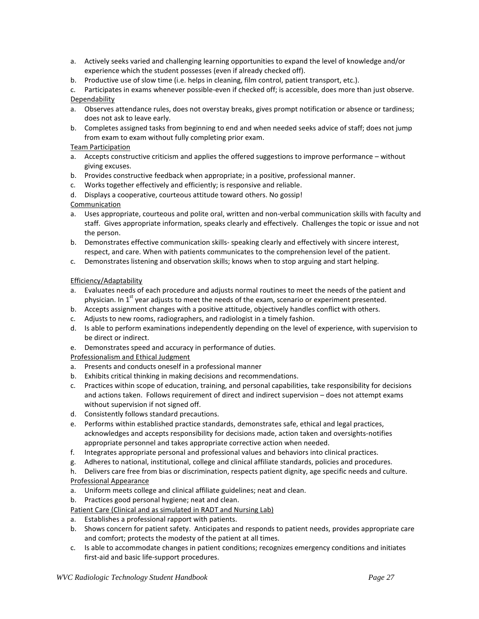- a. Actively seeks varied and challenging learning opportunities to expand the level of knowledge and/or experience which the student possesses (even if already checked off).
- b. Productive use of slow time (i.e. helps in cleaning, film control, patient transport, etc.).

c. Participates in exams whenever possible-even if checked off; is accessible, does more than just observe. Dependability

- a. Observes attendance rules, does not overstay breaks, gives prompt notification or absence or tardiness; does not ask to leave early.
- b. Completes assigned tasks from beginning to end and when needed seeks advice of staff; does not jump from exam to exam without fully completing prior exam.

#### Team Participation

- a. Accepts constructive criticism and applies the offered suggestions to improve performance without giving excuses.
- b. Provides constructive feedback when appropriate; in a positive, professional manner.
- c. Works together effectively and efficiently; is responsive and reliable.
- d. Displays a cooperative, courteous attitude toward others. No gossip!

#### Communication

- a. Uses appropriate, courteous and polite oral, written and non-verbal communication skills with faculty and staff. Gives appropriate information, speaks clearly and effectively. Challenges the topic or issue and not the person.
- b. Demonstrates effective communication skills- speaking clearly and effectively with sincere interest, respect, and care. When with patients communicates to the comprehension level of the patient.
- c. Demonstrates listening and observation skills; knows when to stop arguing and start helping.

#### Efficiency/Adaptability

- a. Evaluates needs of each procedure and adjusts normal routines to meet the needs of the patient and physician. In  $1<sup>st</sup>$  year adjusts to meet the needs of the exam, scenario or experiment presented.
- b. Accepts assignment changes with a positive attitude, objectively handles conflict with others.
- c. Adjusts to new rooms, radiographers, and radiologist in a timely fashion.
- d. Is able to perform examinations independently depending on the level of experience, with supervision to be direct or indirect.
- e. Demonstrates speed and accuracy in performance of duties.

## Professionalism and Ethical Judgment

- a. Presents and conducts oneself in a professional manner
- b. Exhibits critical thinking in making decisions and recommendations.
- c. Practices within scope of education, training, and personal capabilities, take responsibility for decisions and actions taken. Follows requirement of direct and indirect supervision – does not attempt exams without supervision if not signed off.
- d. Consistently follows standard precautions.
- e. Performs within established practice standards, demonstrates safe, ethical and legal practices, acknowledges and accepts responsibility for decisions made, action taken and oversights-notifies appropriate personnel and takes appropriate corrective action when needed.
- f. Integrates appropriate personal and professional values and behaviors into clinical practices.
- g. Adheres to national, institutional, college and clinical affiliate standards, policies and procedures.
- h. Delivers care free from bias or discrimination, respects patient dignity, age specific needs and culture. Professional Appearance
- a. Uniform meets college and clinical affiliate guidelines; neat and clean.
- b. Practices good personal hygiene; neat and clean.

## Patient Care (Clinical and as simulated in RADT and Nursing Lab)

- a. Establishes a professional rapport with patients.
- b. Shows concern for patient safety. Anticipates and responds to patient needs, provides appropriate care and comfort; protects the modesty of the patient at all times.
- c. Is able to accommodate changes in patient conditions; recognizes emergency conditions and initiates first-aid and basic life-support procedures.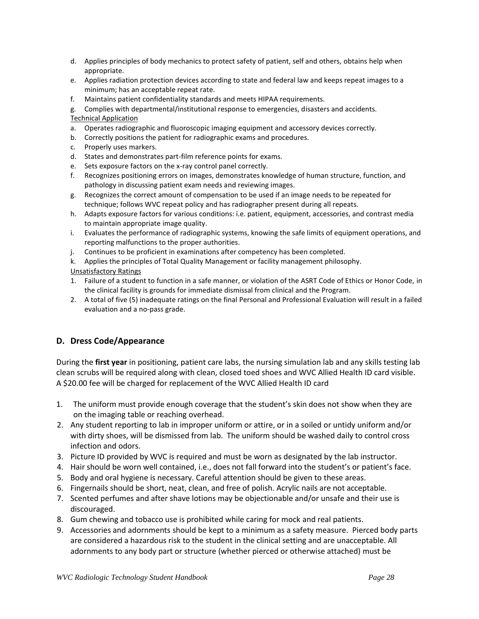- d. Applies principles of body mechanics to protect safety of patient, self and others, obtains help when appropriate.
- e. Applies radiation protection devices according to state and federal law and keeps repeat images to a minimum; has an acceptable repeat rate.
- f. Maintains patient confidentiality standards and meets HIPAA requirements.

g. Complies with departmental/institutional response to emergencies, disasters and accidents. Technical Application

- a. Operates radiographic and fluoroscopic imaging equipment and accessory devices correctly.
- b. Correctly positions the patient for radiographic exams and procedures.
- c. Properly uses markers.
- d. States and demonstrates part-film reference points for exams.
- e. Sets exposure factors on the x-ray control panel correctly.
- f. Recognizes positioning errors on images, demonstrates knowledge of human structure, function, and pathology in discussing patient exam needs and reviewing images.
- g. Recognizes the correct amount of compensation to be used if an image needs to be repeated for technique; follows WVC repeat policy and has radiographer present during all repeats.
- h. Adapts exposure factors for various conditions: i.e. patient, equipment, accessories, and contrast media to maintain appropriate image quality.
- i. Evaluates the performance of radiographic systems, knowing the safe limits of equipment operations, and reporting malfunctions to the proper authorities.
- j. Continues to be proficient in examinations after competency has been completed.
- k. Applies the principles of Total Quality Management or facility management philosophy.

#### Unsatisfactory Ratings

- 1. Failure of a student to function in a safe manner, or violation of the ASRT Code of Ethics or Honor Code, in the clinical facility is grounds for immediate dismissal from clinical and the Program.
- 2. A total of five (5) inadequate ratings on the final Personal and Professional Evaluation will result in a failed evaluation and a no-pass grade.

## **D. Dress Code/Appearance**

During the **first year** in positioning, patient care labs, the nursing simulation lab and any skills testing lab clean scrubs will be required along with clean, closed toed shoes and WVC Allied Health ID card visible. A \$20.00 fee will be charged for replacement of the WVC Allied Health ID card

- 1. The uniform must provide enough coverage that the student's skin does not show when they are on the imaging table or reaching overhead.
- 2. Any student reporting to lab in improper uniform or attire, or in a soiled or untidy uniform and/or with dirty shoes, will be dismissed from lab. The uniform should be washed daily to control cross infection and odors.
- 3. Picture ID provided by WVC is required and must be worn as designated by the lab instructor.
- 4. Hair should be worn well contained, i.e., does not fall forward into the student's or patient's face.
- 5. Body and oral hygiene is necessary. Careful attention should be given to these areas.
- 6. Fingernails should be short, neat, clean, and free of polish. Acrylic nails are not acceptable.
- 7. Scented perfumes and after shave lotions may be objectionable and/or unsafe and their use is discouraged.
- 8. Gum chewing and tobacco use is prohibited while caring for mock and real patients.
- 9. Accessories and adornments should be kept to a minimum as a safety measure. Pierced body parts are considered a hazardous risk to the student in the clinical setting and are unacceptable. All adornments to any body part or structure (whether pierced or otherwise attached) must be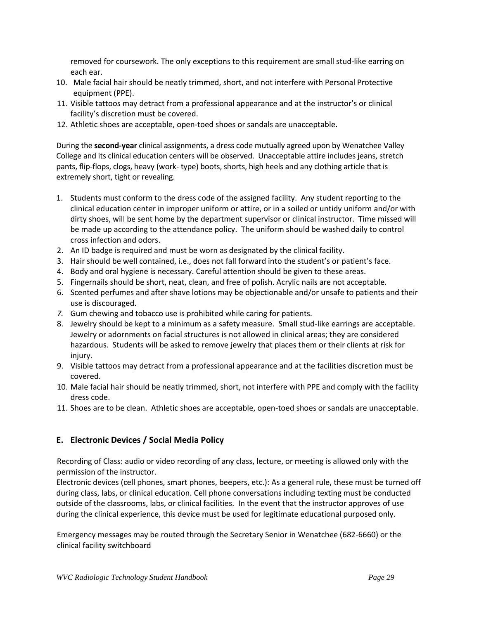removed for coursework. The only exceptions to this requirement are small stud-like earring on each ear.

- 10. Male facial hair should be neatly trimmed, short, and not interfere with Personal Protective equipment (PPE).
- 11. Visible tattoos may detract from a professional appearance and at the instructor's or clinical facility's discretion must be covered.
- 12. Athletic shoes are acceptable, open-toed shoes or sandals are unacceptable.

During the **second-year** clinical assignments, a dress code mutually agreed upon by Wenatchee Valley College and its clinical education centers will be observed. Unacceptable attire includes jeans, stretch pants, flip-flops, clogs, heavy (work- type) boots, shorts, high heels and any clothing article that is extremely short, tight or revealing.

- 1. Students must conform to the dress code of the assigned facility. Any student reporting to the clinical education center in improper uniform or attire, or in a soiled or untidy uniform and/or with dirty shoes, will be sent home by the department supervisor or clinical instructor. Time missed will be made up according to the attendance policy. The uniform should be washed daily to control cross infection and odors.
- 2. An ID badge is required and must be worn as designated by the clinical facility.
- 3. Hair should be well contained, i.e., does not fall forward into the student's or patient's face.
- 4. Body and oral hygiene is necessary. Careful attention should be given to these areas.
- 5. Fingernails should be short, neat, clean, and free of polish. Acrylic nails are not acceptable.
- 6. Scented perfumes and after shave lotions may be objectionable and/or unsafe to patients and their use is discouraged.
- *7.* Gum chewing and tobacco use is prohibited while caring for patients.
- 8. Jewelry should be kept to a minimum as a safety measure. Small stud-like earrings are acceptable. Jewelry or adornments on facial structures is not allowed in clinical areas; they are considered hazardous. Students will be asked to remove jewelry that places them or their clients at risk for injury.
- 9. Visible tattoos may detract from a professional appearance and at the facilities discretion must be covered.
- 10. Male facial hair should be neatly trimmed, short, not interfere with PPE and comply with the facility dress code.
- 11. Shoes are to be clean. Athletic shoes are acceptable, open-toed shoes or sandals are unacceptable.

## **E. Electronic Devices / Social Media Policy**

Recording of Class: audio or video recording of any class, lecture, or meeting is allowed only with the permission of the instructor.

Electronic devices (cell phones, smart phones, beepers, etc.): As a general rule, these must be turned off during class, labs, or clinical education. Cell phone conversations including texting must be conducted outside of the classrooms, labs, or clinical facilities. In the event that the instructor approves of use during the clinical experience, this device must be used for legitimate educational purposed only.

Emergency messages may be routed through the Secretary Senior in Wenatchee (682-6660) or the clinical facility switchboard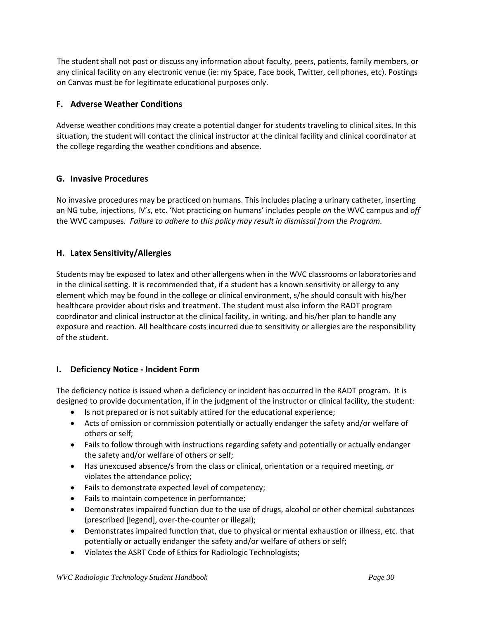The student shall not post or discuss any information about faculty, peers, patients, family members, or any clinical facility on any electronic venue (ie: my Space, Face book, Twitter, cell phones, etc). Postings on Canvas must be for legitimate educational purposes only.

## **F. Adverse Weather Conditions**

Adverse weather conditions may create a potential danger for students traveling to clinical sites. In this situation, the student will contact the clinical instructor at the clinical facility and clinical coordinator at the college regarding the weather conditions and absence.

## **G. Invasive Procedures**

No invasive procedures may be practiced on humans. This includes placing a urinary catheter, inserting an NG tube, injections, IV's, etc. 'Not practicing on humans' includes people *on* the WVC campus and *off* the WVC campuses. *Failure to adhere to this policy may result in dismissal from the Program.*

## **H. Latex Sensitivity/Allergies**

Students may be exposed to latex and other allergens when in the WVC classrooms or laboratories and in the clinical setting. It is recommended that, if a student has a known sensitivity or allergy to any element which may be found in the college or clinical environment, s/he should consult with his/her healthcare provider about risks and treatment. The student must also inform the RADT program coordinator and clinical instructor at the clinical facility, in writing, and his/her plan to handle any exposure and reaction. All healthcare costs incurred due to sensitivity or allergies are the responsibility of the student.

## **I. Deficiency Notice - Incident Form**

The deficiency notice is issued when a deficiency or incident has occurred in the RADT program. It is designed to provide documentation, if in the judgment of the instructor or clinical facility, the student:

- Is not prepared or is not suitably attired for the educational experience;
- Acts of omission or commission potentially or actually endanger the safety and/or welfare of others or self;
- Fails to follow through with instructions regarding safety and potentially or actually endanger the safety and/or welfare of others or self;
- Has unexcused absence/s from the class or clinical, orientation or a required meeting, or violates the attendance policy;
- Fails to demonstrate expected level of competency;
- Fails to maintain competence in performance;
- Demonstrates impaired function due to the use of drugs, alcohol or other chemical substances (prescribed [legend], over-the-counter or illegal);
- Demonstrates impaired function that, due to physical or mental exhaustion or illness, etc. that potentially or actually endanger the safety and/or welfare of others or self;
- Violates the ASRT Code of Ethics for Radiologic Technologists;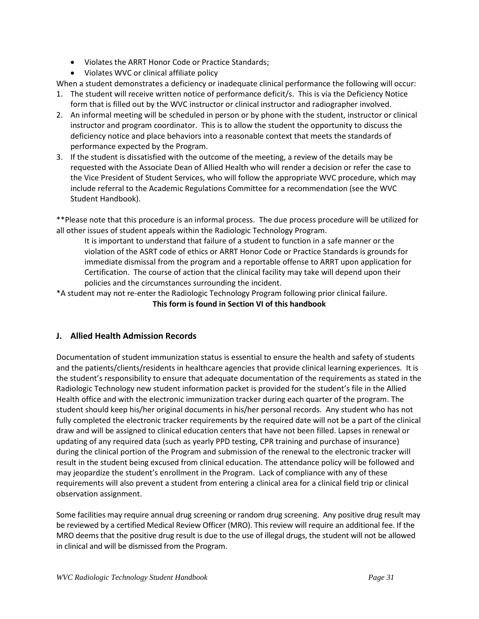- Violates the ARRT Honor Code or Practice Standards;
- Violates WVC or clinical affiliate policy

When a student demonstrates a deficiency or inadequate clinical performance the following will occur:

- 1. The student will receive written notice of performance deficit/s. This is via the Deficiency Notice form that is filled out by the WVC instructor or clinical instructor and radiographer involved.
- 2. An informal meeting will be scheduled in person or by phone with the student, instructor or clinical instructor and program coordinator. This is to allow the student the opportunity to discuss the deficiency notice and place behaviors into a reasonable context that meets the standards of performance expected by the Program.
- 3. If the student is dissatisfied with the outcome of the meeting, a review of the details may be requested with the Associate Dean of Allied Health who will render a decision or refer the case to the Vice President of Student Services, who will follow the appropriate WVC procedure, which may include referral to the Academic Regulations Committee for a recommendation (see the WVC Student Handbook).

\*\*Please note that this procedure is an informal process. The due process procedure will be utilized for all other issues of student appeals within the Radiologic Technology Program.

It is important to understand that failure of a student to function in a safe manner or the violation of the ASRT code of ethics or ARRT Honor Code or Practice Standards is grounds for immediate dismissal from the program and a reportable offense to ARRT upon application for Certification. The course of action that the clinical facility may take will depend upon their policies and the circumstances surrounding the incident.

\*A student may not re-enter the Radiologic Technology Program following prior clinical failure.

**This form is found in Section VI of this handbook**

## **J. Allied Health Admission Records**

Documentation of student immunization status is essential to ensure the health and safety of students and the patients/clients/residents in healthcare agencies that provide clinical learning experiences. It is the student's responsibility to ensure that adequate documentation of the requirements as stated in the Radiologic Technology new student information packet is provided for the student's file in the Allied Health office and with the electronic immunization tracker during each quarter of the program. The student should keep his/her original documents in his/her personal records. Any student who has not fully completed the electronic tracker requirements by the required date will not be a part of the clinical draw and will be assigned to clinical education centers that have not been filled. Lapses in renewal or updating of any required data (such as yearly PPD testing, CPR training and purchase of insurance) during the clinical portion of the Program and submission of the renewal to the electronic tracker will result in the student being excused from clinical education. The attendance policy will be followed and may jeopardize the student's enrollment in the Program. Lack of compliance with any of these requirements will also prevent a student from entering a clinical area for a clinical field trip or clinical observation assignment.

Some facilities may require annual drug screening or random drug screening. Any positive drug result may be reviewed by a certified Medical Review Officer (MRO). This review will require an additional fee. If the MRO deems that the positive drug result is due to the use of illegal drugs, the student will not be allowed in clinical and will be dismissed from the Program.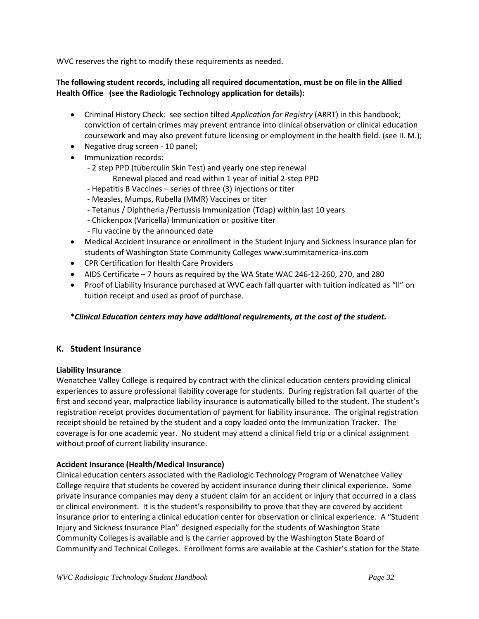WVC reserves the right to modify these requirements as needed.

## **The following student records, including all required documentation, must be on file in the Allied Health Office (see the Radiologic Technology application for details):**

- Criminal History Check: see section tilted *Application for Registry* (ARRT) in this handbook; conviction of certain crimes may prevent entrance into clinical observation or clinical education coursework and may also prevent future licensing or employment in the health field. (see II. M.);
- Negative drug screen 10 panel;
- Immunization records:
	- 2 step PPD (tuberculin Skin Test) and yearly one step renewal
		- Renewal placed and read within 1 year of initial 2-step PPD
	- Hepatitis B Vaccines series of three (3) injections or titer
	- Measles, Mumps, Rubella (MMR) Vaccines or titer
	- Tetanus / Diphtheria /Pertussis Immunization (Tdap) within last 10 years
	- Chickenpox (Varicella) Immunization or positive titer
	- Flu vaccine by the announced date
- Medical Accident Insurance or enrollment in the Student Injury and Sickness Insurance plan for students of Washington State Community Colleges www.summitamerica-ins.com
- CPR Certification for Health Care Providers
- AIDS Certificate 7 hours as required by the WA State WAC 246-12-260, 270, and 280
- Proof of Liability Insurance purchased at WVC each fall quarter with tuition indicated as "Il" on tuition receipt and used as proof of purchase.

## \**Clinical Education centers may have additional requirements, at the cost of the student.*

## **K. Student Insurance**

## **Liability Insurance**

Wenatchee Valley College is required by contract with the clinical education centers providing clinical experiences to assure professional liability coverage for students. During registration fall quarter of the first and second year, malpractice liability insurance is automatically billed to the student. The student's registration receipt provides documentation of payment for liability insurance. The original registration receipt should be retained by the student and a copy loaded onto the Immunization Tracker. The coverage is for one academic year. No student may attend a clinical field trip or a clinical assignment without proof of current liability insurance.

## **Accident Insurance (Health/Medical Insurance)**

Clinical education centers associated with the Radiologic Technology Program of Wenatchee Valley College require that students be covered by accident insurance during their clinical experience. Some private insurance companies may deny a student claim for an accident or injury that occurred in a class or clinical environment. It is the student's responsibility to prove that they are covered by accident insurance prior to entering a clinical education center for observation or clinical experience. A "Student Injury and Sickness Insurance Plan" designed especially for the students of Washington State Community Colleges is available and is the carrier approved by the Washington State Board of Community and Technical Colleges. Enrollment forms are available at the Cashier's station for the State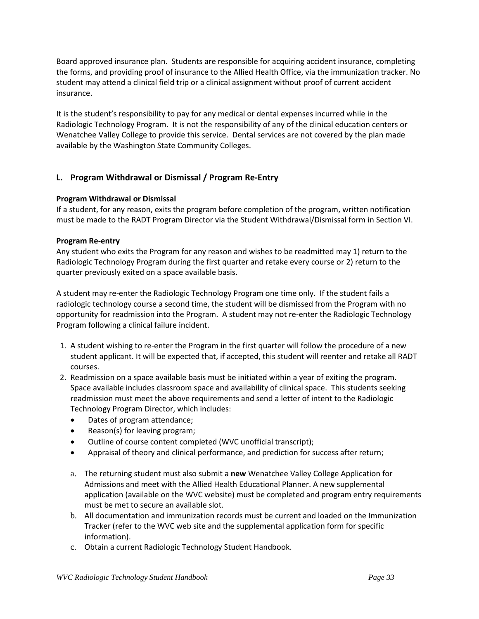Board approved insurance plan. Students are responsible for acquiring accident insurance, completing the forms, and providing proof of insurance to the Allied Health Office, via the immunization tracker. No student may attend a clinical field trip or a clinical assignment without proof of current accident insurance.

It is the student's responsibility to pay for any medical or dental expenses incurred while in the Radiologic Technology Program. It is not the responsibility of any of the clinical education centers or Wenatchee Valley College to provide this service. Dental services are not covered by the plan made available by the Washington State Community Colleges.

## **L. Program Withdrawal or Dismissal / Program Re-Entry**

## **Program Withdrawal or Dismissal**

If a student, for any reason, exits the program before completion of the program, written notification must be made to the RADT Program Director via the Student Withdrawal/Dismissal form in Section VI.

## **Program Re-entry**

Any student who exits the Program for any reason and wishes to be readmitted may 1) return to the Radiologic Technology Program during the first quarter and retake every course or 2) return to the quarter previously exited on a space available basis.

A student may re-enter the Radiologic Technology Program one time only. If the student fails a radiologic technology course a second time, the student will be dismissed from the Program with no opportunity for readmission into the Program. A student may not re-enter the Radiologic Technology Program following a clinical failure incident.

- 1. A student wishing to re-enter the Program in the first quarter will follow the procedure of a new student applicant. It will be expected that, if accepted, this student will reenter and retake all RADT courses.
- 2. Readmission on a space available basis must be initiated within a year of exiting the program. Space available includes classroom space and availability of clinical space. This students seeking readmission must meet the above requirements and send a letter of intent to the Radiologic Technology Program Director, which includes:
	- Dates of program attendance;
	- Reason(s) for leaving program;
	- Outline of course content completed (WVC unofficial transcript);
	- Appraisal of theory and clinical performance, and prediction for success after return;
	- a. The returning student must also submit a **new** Wenatchee Valley College Application for Admissions and meet with the Allied Health Educational Planner. A new supplemental application (available on the WVC website) must be completed and program entry requirements must be met to secure an available slot.
	- b. All documentation and immunization records must be current and loaded on the Immunization Tracker (refer to the WVC web site and the supplemental application form for specific information).
	- c. Obtain a current Radiologic Technology Student Handbook.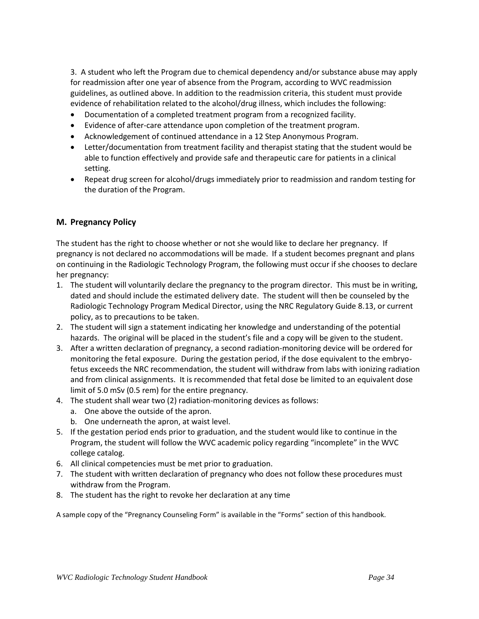3. A student who left the Program due to chemical dependency and/or substance abuse may apply for readmission after one year of absence from the Program, according to WVC readmission guidelines, as outlined above. In addition to the readmission criteria, this student must provide evidence of rehabilitation related to the alcohol/drug illness, which includes the following:

- Documentation of a completed treatment program from a recognized facility.
- Evidence of after-care attendance upon completion of the treatment program.
- Acknowledgement of continued attendance in a 12 Step Anonymous Program.
- Letter/documentation from treatment facility and therapist stating that the student would be able to function effectively and provide safe and therapeutic care for patients in a clinical setting.
- Repeat drug screen for alcohol/drugs immediately prior to readmission and random testing for the duration of the Program.

## **M. Pregnancy Policy**

The student has the right to choose whether or not she would like to declare her pregnancy. If pregnancy is not declared no accommodations will be made. If a student becomes pregnant and plans on continuing in the Radiologic Technology Program, the following must occur if she chooses to declare her pregnancy:

- 1. The student will voluntarily declare the pregnancy to the program director. This must be in writing, dated and should include the estimated delivery date. The student will then be counseled by the Radiologic Technology Program Medical Director, using the NRC Regulatory Guide 8.13, or current policy, as to precautions to be taken.
- 2. The student will sign a statement indicating her knowledge and understanding of the potential hazards. The original will be placed in the student's file and a copy will be given to the student.
- 3. After a written declaration of pregnancy, a second radiation-monitoring device will be ordered for monitoring the fetal exposure. During the gestation period, if the dose equivalent to the embryofetus exceeds the NRC recommendation, the student will withdraw from labs with ionizing radiation and from clinical assignments. It is recommended that fetal dose be limited to an equivalent dose limit of 5.0 mSv (0.5 rem) for the entire pregnancy.
- 4. The student shall wear two (2) radiation-monitoring devices as follows:
	- a. One above the outside of the apron.
	- b. One underneath the apron, at waist level.
- 5. If the gestation period ends prior to graduation, and the student would like to continue in the Program, the student will follow the WVC academic policy regarding "incomplete" in the WVC college catalog.
- 6. All clinical competencies must be met prior to graduation.
- 7. The student with written declaration of pregnancy who does not follow these procedures must withdraw from the Program.
- 8. The student has the right to revoke her declaration at any time

A sample copy of the "Pregnancy Counseling Form" is available in the "Forms" section of this handbook.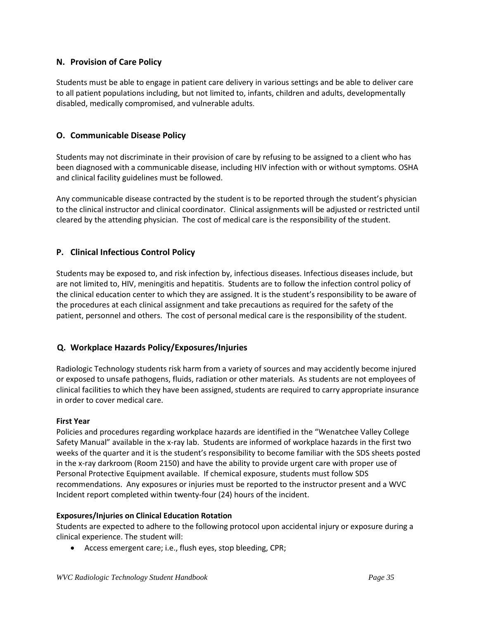## **N. Provision of Care Policy**

Students must be able to engage in patient care delivery in various settings and be able to deliver care to all patient populations including, but not limited to, infants, children and adults, developmentally disabled, medically compromised, and vulnerable adults.

## **O. Communicable Disease Policy**

Students may not discriminate in their provision of care by refusing to be assigned to a client who has been diagnosed with a communicable disease, including HIV infection with or without symptoms. OSHA and clinical facility guidelines must be followed.

Any communicable disease contracted by the student is to be reported through the student's physician to the clinical instructor and clinical coordinator. Clinical assignments will be adjusted or restricted until cleared by the attending physician. The cost of medical care is the responsibility of the student.

## **P. Clinical Infectious Control Policy**

Students may be exposed to, and risk infection by, infectious diseases. Infectious diseases include, but are not limited to, HIV, meningitis and hepatitis. Students are to follow the infection control policy of the clinical education center to which they are assigned. It is the student's responsibility to be aware of the procedures at each clinical assignment and take precautions as required for the safety of the patient, personnel and others. The cost of personal medical care is the responsibility of the student.

## **Q. Workplace Hazards Policy/Exposures/Injuries**

Radiologic Technology students risk harm from a variety of sources and may accidently become injured or exposed to unsafe pathogens, fluids, radiation or other materials. As students are not employees of clinical facilities to which they have been assigned, students are required to carry appropriate insurance in order to cover medical care.

#### **First Year**

Policies and procedures regarding workplace hazards are identified in the "Wenatchee Valley College Safety Manual" available in the x-ray lab. Students are informed of workplace hazards in the first two weeks of the quarter and it is the student's responsibility to become familiar with the SDS sheets posted in the x-ray darkroom (Room 2150) and have the ability to provide urgent care with proper use of Personal Protective Equipment available. If chemical exposure, students must follow SDS recommendations. Any exposures or injuries must be reported to the instructor present and a WVC Incident report completed within twenty-four (24) hours of the incident.

## **Exposures/Injuries on Clinical Education Rotation**

Students are expected to adhere to the following protocol upon accidental injury or exposure during a clinical experience. The student will:

Access emergent care; i.e., flush eyes, stop bleeding, CPR;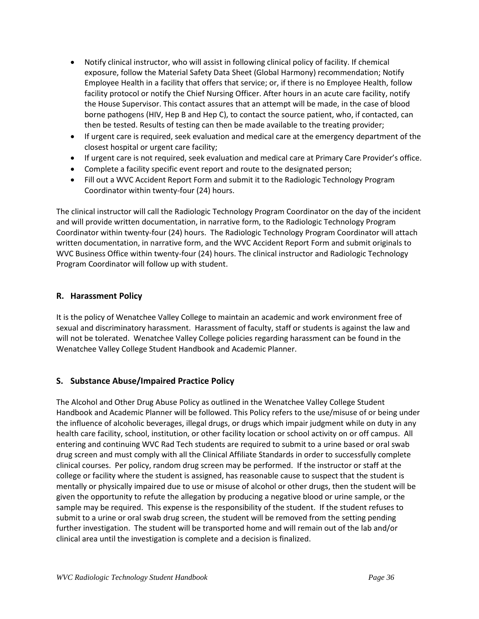- Notify clinical instructor, who will assist in following clinical policy of facility. If chemical exposure, follow the Material Safety Data Sheet (Global Harmony) recommendation; Notify Employee Health in a facility that offers that service; or, if there is no Employee Health, follow facility protocol or notify the Chief Nursing Officer. After hours in an acute care facility, notify the House Supervisor. This contact assures that an attempt will be made, in the case of blood borne pathogens (HIV, Hep B and Hep C), to contact the source patient, who, if contacted, can then be tested. Results of testing can then be made available to the treating provider;
- If urgent care is required, seek evaluation and medical care at the emergency department of the closest hospital or urgent care facility;
- If urgent care is not required, seek evaluation and medical care at Primary Care Provider's office.
- Complete a facility specific event report and route to the designated person;
- Fill out a WVC Accident Report Form and submit it to the Radiologic Technology Program Coordinator within twenty-four (24) hours.

The clinical instructor will call the Radiologic Technology Program Coordinator on the day of the incident and will provide written documentation, in narrative form, to the Radiologic Technology Program Coordinator within twenty-four (24) hours. The Radiologic Technology Program Coordinator will attach written documentation, in narrative form, and the WVC Accident Report Form and submit originals to WVC Business Office within twenty-four (24) hours. The clinical instructor and Radiologic Technology Program Coordinator will follow up with student.

## **R. Harassment Policy**

It is the policy of Wenatchee Valley College to maintain an academic and work environment free of sexual and discriminatory harassment. Harassment of faculty, staff or students is against the law and will not be tolerated. Wenatchee Valley College policies regarding harassment can be found in the Wenatchee Valley College Student Handbook and Academic Planner.

## **S. Substance Abuse/Impaired Practice Policy**

The Alcohol and Other Drug Abuse Policy as outlined in the Wenatchee Valley College Student Handbook and Academic Planner will be followed. This Policy refers to the use/misuse of or being under the influence of alcoholic beverages, illegal drugs, or drugs which impair judgment while on duty in any health care facility, school, institution, or other facility location or school activity on or off campus. All entering and continuing WVC Rad Tech students are required to submit to a urine based or oral swab drug screen and must comply with all the Clinical Affiliate Standards in order to successfully complete clinical courses. Per policy, random drug screen may be performed. If the instructor or staff at the college or facility where the student is assigned, has reasonable cause to suspect that the student is mentally or physically impaired due to use or misuse of alcohol or other drugs, then the student will be given the opportunity to refute the allegation by producing a negative blood or urine sample, or the sample may be required. This expense is the responsibility of the student. If the student refuses to submit to a urine or oral swab drug screen, the student will be removed from the setting pending further investigation. The student will be transported home and will remain out of the lab and/or clinical area until the investigation is complete and a decision is finalized.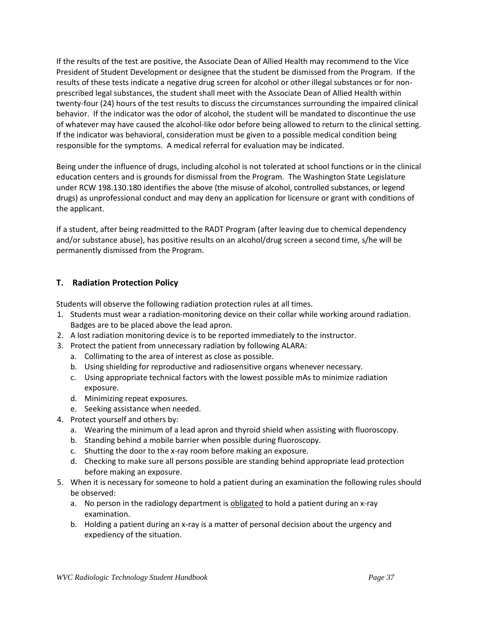If the results of the test are positive, the Associate Dean of Allied Health may recommend to the Vice President of Student Development or designee that the student be dismissed from the Program. If the results of these tests indicate a negative drug screen for alcohol or other illegal substances or for nonprescribed legal substances, the student shall meet with the Associate Dean of Allied Health within twenty-four (24) hours of the test results to discuss the circumstances surrounding the impaired clinical behavior. If the indicator was the odor of alcohol, the student will be mandated to discontinue the use of whatever may have caused the alcohol-like odor before being allowed to return to the clinical setting. If the indicator was behavioral, consideration must be given to a possible medical condition being responsible for the symptoms. A medical referral for evaluation may be indicated.

Being under the influence of drugs, including alcohol is not tolerated at school functions or in the clinical education centers and is grounds for dismissal from the Program. The Washington State Legislature under RCW 198.130.180 identifies the above (the misuse of alcohol, controlled substances, or legend drugs) as unprofessional conduct and may deny an application for licensure or grant with conditions of the applicant.

If a student, after being readmitted to the RADT Program (after leaving due to chemical dependency and/or substance abuse), has positive results on an alcohol/drug screen a second time, s/he will be permanently dismissed from the Program.

## **T. Radiation Protection Policy**

Students will observe the following radiation protection rules at all times.

- 1. Students must wear a radiation-monitoring device on their collar while working around radiation. Badges are to be placed above the lead apron.
- 2. A lost radiation monitoring device is to be reported immediately to the instructor.
- 3. Protect the patient from unnecessary radiation by following ALARA:
	- a. Collimating to the area of interest as close as possible.
	- b. Using shielding for reproductive and radiosensitive organs whenever necessary.
	- c. Using appropriate technical factors with the lowest possible mAs to minimize radiation exposure.
	- d. Minimizing repeat exposures.
	- e. Seeking assistance when needed.
- 4. Protect yourself and others by:
	- a. Wearing the minimum of a lead apron and thyroid shield when assisting with fluoroscopy.
	- b. Standing behind a mobile barrier when possible during fluoroscopy.
	- c. Shutting the door to the x-ray room before making an exposure.
	- d. Checking to make sure all persons possible are standing behind appropriate lead protection before making an exposure.
- 5. When it is necessary for someone to hold a patient during an examination the following rules should be observed:
	- a. No person in the radiology department is obligated to hold a patient during an x-ray examination.
	- b. Holding a patient during an x-ray is a matter of personal decision about the urgency and expediency of the situation.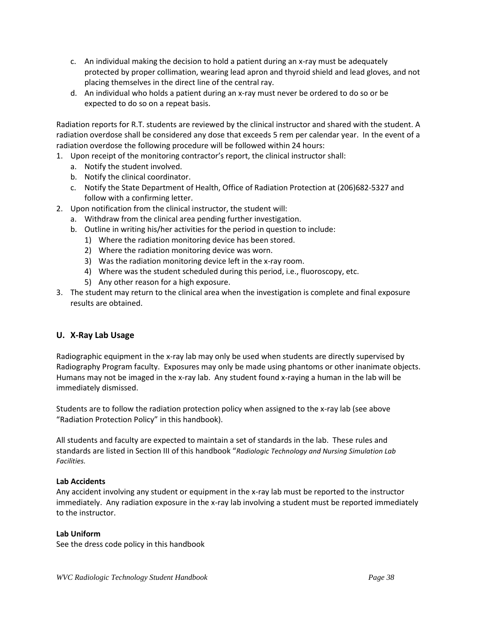- c. An individual making the decision to hold a patient during an x-ray must be adequately protected by proper collimation, wearing lead apron and thyroid shield and lead gloves, and not placing themselves in the direct line of the central ray.
- d. An individual who holds a patient during an x-ray must never be ordered to do so or be expected to do so on a repeat basis.

Radiation reports for R.T. students are reviewed by the clinical instructor and shared with the student. A radiation overdose shall be considered any dose that exceeds 5 rem per calendar year. In the event of a radiation overdose the following procedure will be followed within 24 hours:

- 1. Upon receipt of the monitoring contractor's report, the clinical instructor shall:
	- a. Notify the student involved.
	- b. Notify the clinical coordinator.
	- c. Notify the State Department of Health, Office of Radiation Protection at (206)682-5327 and follow with a confirming letter.
- 2. Upon notification from the clinical instructor, the student will:
	- a. Withdraw from the clinical area pending further investigation.
	- b. Outline in writing his/her activities for the period in question to include:
		- 1) Where the radiation monitoring device has been stored.
		- 2) Where the radiation monitoring device was worn.
		- 3) Was the radiation monitoring device left in the x-ray room.
		- 4) Where was the student scheduled during this period, i.e., fluoroscopy, etc.
		- 5) Any other reason for a high exposure.
- 3. The student may return to the clinical area when the investigation is complete and final exposure results are obtained.

## **U. X-Ray Lab Usage**

Radiographic equipment in the x-ray lab may only be used when students are directly supervised by Radiography Program faculty. Exposures may only be made using phantoms or other inanimate objects. Humans may not be imaged in the x-ray lab. Any student found x-raying a human in the lab will be immediately dismissed.

Students are to follow the radiation protection policy when assigned to the x-ray lab (see above "Radiation Protection Policy" in this handbook).

All students and faculty are expected to maintain a set of standards in the lab. These rules and standards are listed in Section III of this handbook "*Radiologic Technology and Nursing Simulation Lab Facilities.* 

## **Lab Accidents**

Any accident involving any student or equipment in the x-ray lab must be reported to the instructor immediately. Any radiation exposure in the x-ray lab involving a student must be reported immediately to the instructor.

## **Lab Uniform**

See the dress code policy in this handbook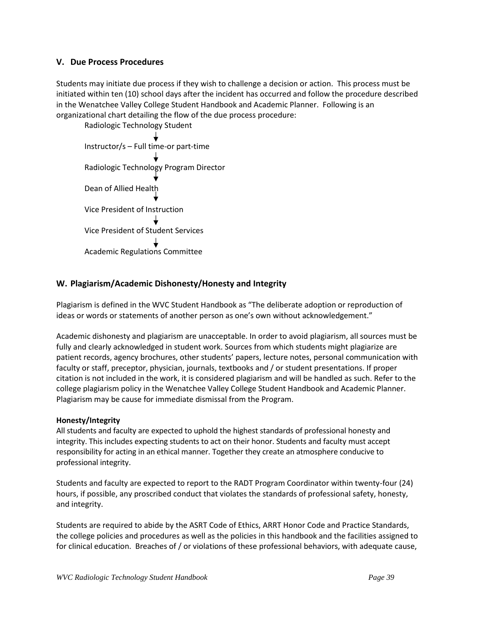## **V. Due Process Procedures**

Students may initiate due process if they wish to challenge a decision or action. This process must be initiated within ten (10) school days after the incident has occurred and follow the procedure described in the Wenatchee Valley College Student Handbook and Academic Planner. Following is an organizational chart detailing the flow of the due process procedure:



## **W. Plagiarism/Academic Dishonesty/Honesty and Integrity**

Plagiarism is defined in the WVC Student Handbook as "The deliberate adoption or reproduction of ideas or words or statements of another person as one's own without acknowledgement."

Academic dishonesty and plagiarism are unacceptable. In order to avoid plagiarism, all sources must be fully and clearly acknowledged in student work. Sources from which students might plagiarize are patient records, agency brochures, other students' papers, lecture notes, personal communication with faculty or staff, preceptor, physician, journals, textbooks and / or student presentations. If proper citation is not included in the work, it is considered plagiarism and will be handled as such. Refer to the college plagiarism policy in the Wenatchee Valley College Student Handbook and Academic Planner. Plagiarism may be cause for immediate dismissal from the Program.

## **Honesty/Integrity**

All students and faculty are expected to uphold the highest standards of professional honesty and integrity. This includes expecting students to act on their honor. Students and faculty must accept responsibility for acting in an ethical manner. Together they create an atmosphere conducive to professional integrity.

Students and faculty are expected to report to the RADT Program Coordinator within twenty-four (24) hours, if possible, any proscribed conduct that violates the standards of professional safety, honesty, and integrity.

Students are required to abide by the ASRT Code of Ethics, ARRT Honor Code and Practice Standards, the college policies and procedures as well as the policies in this handbook and the facilities assigned to for clinical education. Breaches of / or violations of these professional behaviors, with adequate cause,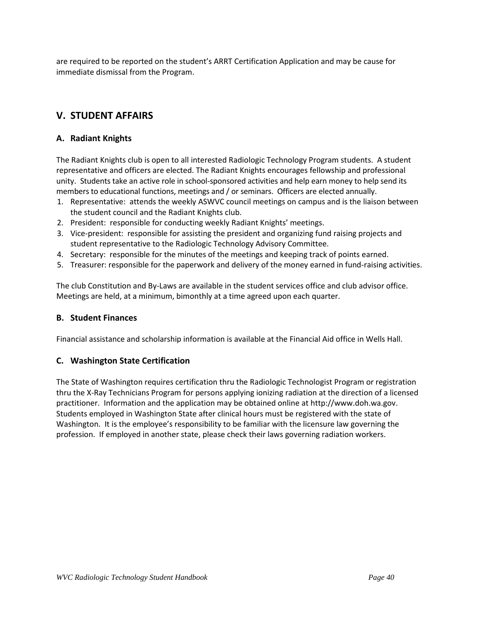are required to be reported on the student's ARRT Certification Application and may be cause for immediate dismissal from the Program.

## **V. STUDENT AFFAIRS**

## **A. Radiant Knights**

The Radiant Knights club is open to all interested Radiologic Technology Program students. A student representative and officers are elected. The Radiant Knights encourages fellowship and professional unity. Students take an active role in school-sponsored activities and help earn money to help send its members to educational functions, meetings and / or seminars. Officers are elected annually.

- 1. Representative: attends the weekly ASWVC council meetings on campus and is the liaison between the student council and the Radiant Knights club.
- 2. President: responsible for conducting weekly Radiant Knights' meetings.
- 3. Vice-president: responsible for assisting the president and organizing fund raising projects and student representative to the Radiologic Technology Advisory Committee.
- 4. Secretary: responsible for the minutes of the meetings and keeping track of points earned.
- 5. Treasurer: responsible for the paperwork and delivery of the money earned in fund-raising activities.

The club Constitution and By-Laws are available in the student services office and club advisor office. Meetings are held, at a minimum, bimonthly at a time agreed upon each quarter.

## **B. Student Finances**

Financial assistance and scholarship information is available at the Financial Aid office in Wells Hall.

## **C. Washington State Certification**

The State of Washington requires certification thru the Radiologic Technologist Program or registration thru the X-Ray Technicians Program for persons applying ionizing radiation at the direction of a licensed practitioner. Information and the application may be obtained online at http://www.doh.wa.gov. Students employed in Washington State after clinical hours must be registered with the state of Washington. It is the employee's responsibility to be familiar with the licensure law governing the profession. If employed in another state, please check their laws governing radiation workers.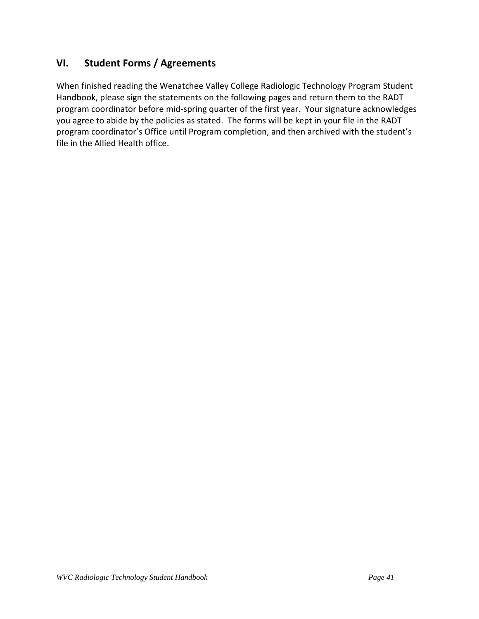## **VI. Student Forms / Agreements**

When finished reading the Wenatchee Valley College Radiologic Technology Program Student Handbook, please sign the statements on the following pages and return them to the RADT program coordinator before mid-spring quarter of the first year. Your signature acknowledges you agree to abide by the policies as stated. The forms will be kept in your file in the RADT program coordinator's Office until Program completion, and then archived with the student's file in the Allied Health office.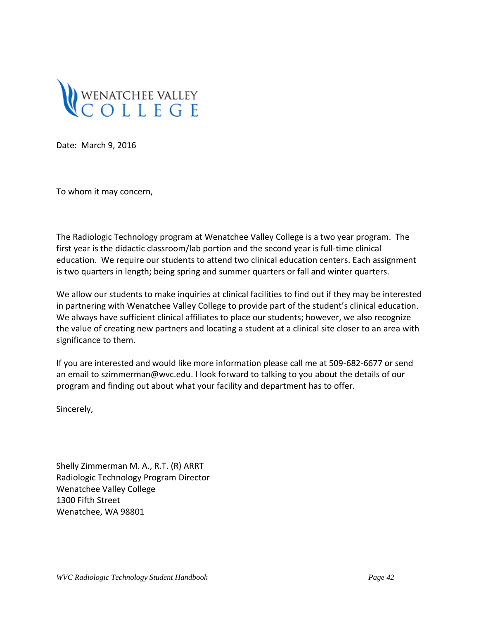

Date: March 9, 2016

To whom it may concern,

The Radiologic Technology program at Wenatchee Valley College is a two year program. The first year is the didactic classroom/lab portion and the second year is full-time clinical education. We require our students to attend two clinical education centers. Each assignment is two quarters in length; being spring and summer quarters or fall and winter quarters.

We allow our students to make inquiries at clinical facilities to find out if they may be interested in partnering with Wenatchee Valley College to provide part of the student's clinical education. We always have sufficient clinical affiliates to place our students; however, we also recognize the value of creating new partners and locating a student at a clinical site closer to an area with significance to them.

If you are interested and would like more information please call me at 509-682-6677 or send an email to szimmerman@wvc.edu. I look forward to talking to you about the details of our program and finding out about what your facility and department has to offer.

Sincerely,

Shelly Zimmerman M. A., R.T. (R) ARRT Radiologic Technology Program Director Wenatchee Valley College 1300 Fifth Street Wenatchee, WA 98801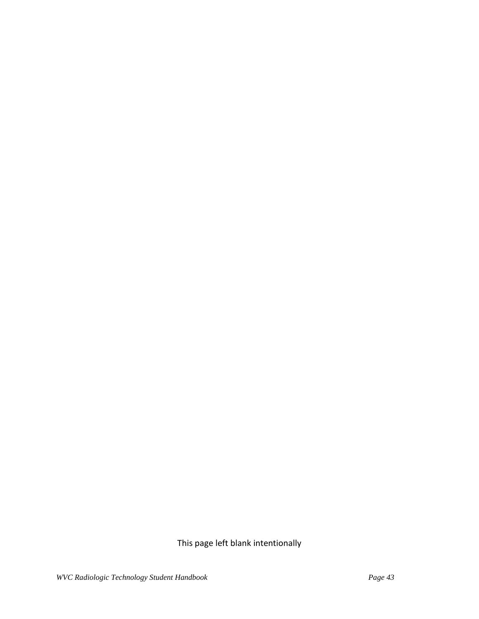This page left blank intentionally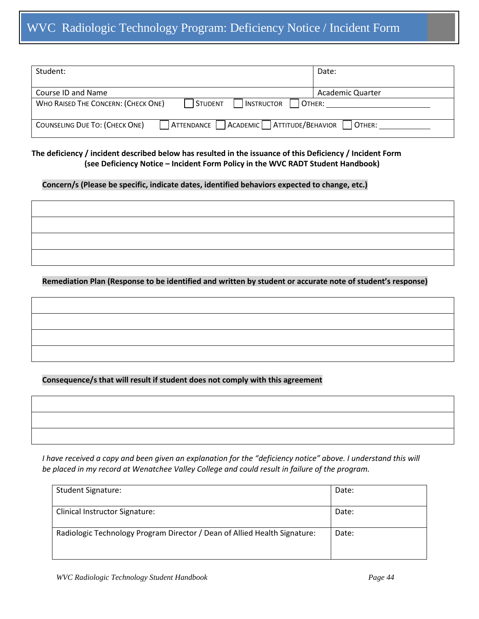# WVC Radiologic Technology Program: Deficiency Notice / Incident Form

| Student:                                                                            | Date:            |
|-------------------------------------------------------------------------------------|------------------|
|                                                                                     |                  |
| Course ID and Name                                                                  | Academic Quarter |
| WHO RAISED THE CONCERN: (CHECK ONE)<br><b>STUDENT</b><br>INSTRUCTOR                 | OTHER:           |
| <b>COUNSELING DUE TO: (CHECK ONE)</b><br>ACADEMIC   ATTITUDE/BEHAVIOR<br>ATTENDANCE | OTHER:           |

**The deficiency / incident described below has resulted in the issuance of this Deficiency / Incident Form (see Deficiency Notice – Incident Form Policy in the WVC RADT Student Handbook)**

**Concern/s (Please be specific, indicate dates, identified behaviors expected to change, etc.)**

**Remediation Plan (Response to be identified and written by student or accurate note of student's response)**

#### **Consequence/s that will result if student does not comply with this agreement**

*I* have received a copy and been given an explanation for the "deficiency notice" above. I understand this will *be placed in my record at Wenatchee Valley College and could result in failure of the program.* 

| <b>Student Signature:</b>                                                 | Date: |
|---------------------------------------------------------------------------|-------|
| Clinical Instructor Signature:                                            | Date: |
| Radiologic Technology Program Director / Dean of Allied Health Signature: | Date: |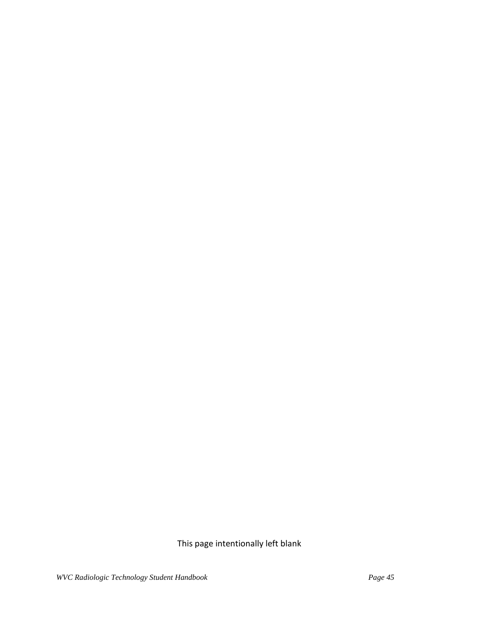This page intentionally left blank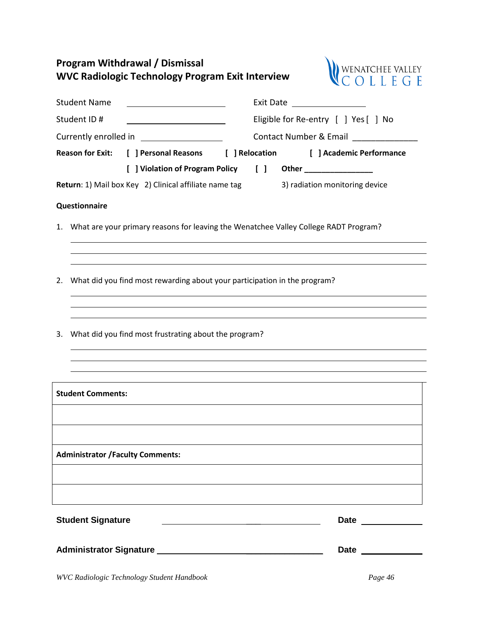## **Program Withdrawal / Dismissal WVC Radiologic Technology Program Exit Interview**



|             | <b>Student Name</b>      |                                                                                         | Exit Date <u>___________________</u> |                                |                          |
|-------------|--------------------------|-----------------------------------------------------------------------------------------|--------------------------------------|--------------------------------|--------------------------|
| Student ID# |                          |                                                                                         | Eligible for Re-entry [ ] Yes [ ] No |                                |                          |
|             |                          | Contact Number & Email ______________                                                   |                                      |                                |                          |
|             |                          | Reason for Exit: [ ] Personal Reasons                                                   | [ ] Relocation                       |                                | [ ] Academic Performance |
|             |                          | [ ] Violation of Program Policy [ ] Other _____________                                 |                                      |                                |                          |
|             |                          | Return: 1) Mail box Key 2) Clinical affiliate name tag                                  |                                      | 3) radiation monitoring device |                          |
|             | Questionnaire            |                                                                                         |                                      |                                |                          |
|             |                          | 1. What are your primary reasons for leaving the Wenatchee Valley College RADT Program? |                                      |                                |                          |
|             |                          |                                                                                         |                                      |                                |                          |
| 2.          |                          | What did you find most rewarding about your participation in the program?               |                                      |                                |                          |
|             |                          |                                                                                         |                                      |                                |                          |
| 3.          |                          | What did you find most frustrating about the program?                                   |                                      |                                |                          |
|             |                          |                                                                                         |                                      |                                |                          |
|             |                          |                                                                                         |                                      |                                |                          |
|             | <b>Student Comments:</b> |                                                                                         |                                      |                                |                          |
|             |                          |                                                                                         |                                      |                                |                          |
|             |                          |                                                                                         |                                      |                                |                          |
|             |                          | <b>Administrator /Faculty Comments:</b>                                                 |                                      |                                |                          |
|             |                          |                                                                                         |                                      |                                |                          |
|             |                          |                                                                                         |                                      |                                |                          |
|             |                          |                                                                                         |                                      |                                |                          |
|             | <b>Student Signature</b> |                                                                                         |                                      |                                |                          |
|             |                          |                                                                                         |                                      |                                | <b>Date Date</b>         |
|             |                          |                                                                                         |                                      |                                |                          |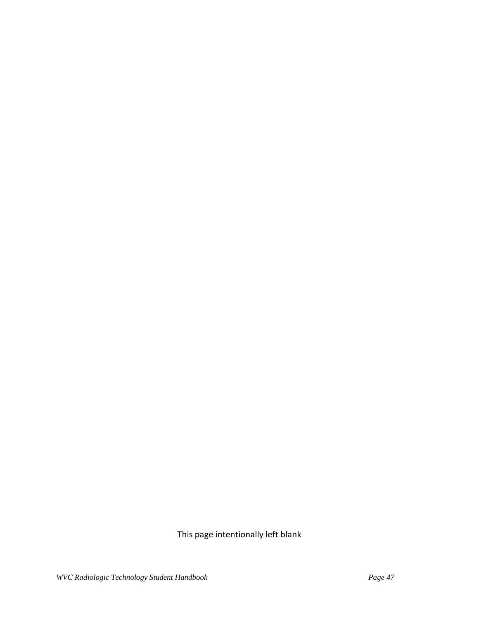This page intentionally left blank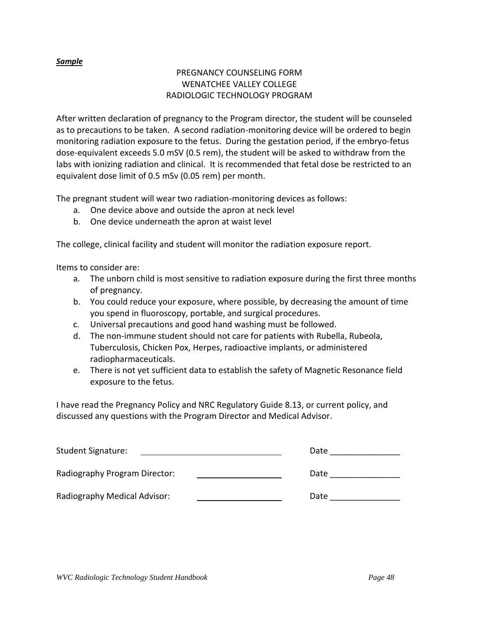## *Sample*

## PREGNANCY COUNSELING FORM WENATCHEE VALLEY COLLEGE RADIOLOGIC TECHNOLOGY PROGRAM

After written declaration of pregnancy to the Program director, the student will be counseled as to precautions to be taken. A second radiation-monitoring device will be ordered to begin monitoring radiation exposure to the fetus. During the gestation period, if the embryo-fetus dose-equivalent exceeds 5.0 mSV (0.5 rem), the student will be asked to withdraw from the labs with ionizing radiation and clinical. It is recommended that fetal dose be restricted to an equivalent dose limit of 0.5 mSv (0.05 rem) per month.

The pregnant student will wear two radiation-monitoring devices as follows:

- a. One device above and outside the apron at neck level
- b. One device underneath the apron at waist level

The college, clinical facility and student will monitor the radiation exposure report.

Items to consider are:

- a. The unborn child is most sensitive to radiation exposure during the first three months of pregnancy.
- b. You could reduce your exposure, where possible, by decreasing the amount of time you spend in fluoroscopy, portable, and surgical procedures.
- c. Universal precautions and good hand washing must be followed.
- d. The non-immune student should not care for patients with Rubella, Rubeola, Tuberculosis, Chicken Pox, Herpes, radioactive implants, or administered radiopharmaceuticals.
- e. There is not yet sufficient data to establish the safety of Magnetic Resonance field exposure to the fetus.

I have read the Pregnancy Policy and NRC Regulatory Guide 8.13, or current policy, and discussed any questions with the Program Director and Medical Advisor.

| <b>Student Signature:</b>     | Date |
|-------------------------------|------|
| Radiography Program Director: | Date |
| Radiography Medical Advisor:  | Date |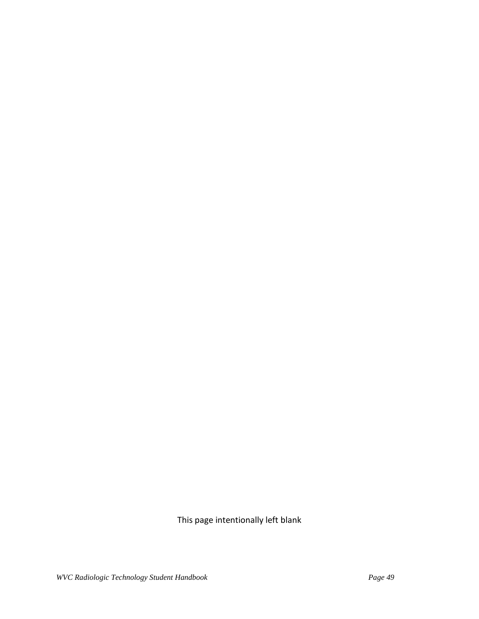This page intentionally left blank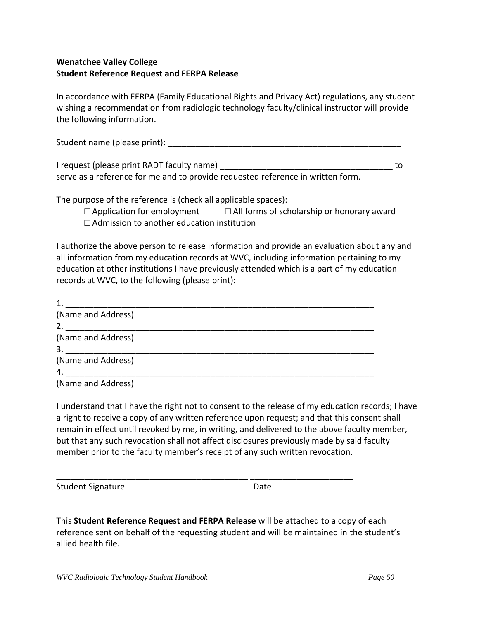## **Wenatchee Valley College Student Reference Request and FERPA Release**

In accordance with FERPA (Family Educational Rights and Privacy Act) regulations, any student wishing a recommendation from radiologic technology faculty/clinical instructor will provide the following information.

Student name (please print):  $\Box$ 

I request (please print RADT faculty name) and the state of the state of the state of the state of to serve as a reference for me and to provide requested reference in written form.

The purpose of the reference is (check all applicable spaces):

 $\square$  Application for employment  $\square$  All forms of scholarship or honorary award  $\square$  Admission to another education institution

I authorize the above person to release information and provide an evaluation about any and all information from my education records at WVC, including information pertaining to my education at other institutions I have previously attended which is a part of my education records at WVC, to the following (please print):

| 1                  |  |
|--------------------|--|
| (Name and Address) |  |
| 2.                 |  |
| (Name and Address) |  |
| 3.                 |  |
| (Name and Address) |  |
| 4.                 |  |
| (Name and Address) |  |

I understand that I have the right not to consent to the release of my education records; I have a right to receive a copy of any written reference upon request; and that this consent shall remain in effect until revoked by me, in writing, and delivered to the above faculty member, but that any such revocation shall not affect disclosures previously made by said faculty member prior to the faculty member's receipt of any such written revocation.

Student Signature Date Date

This **Student Reference Request and FERPA Release** will be attached to a copy of each reference sent on behalf of the requesting student and will be maintained in the student's allied health file.

\_\_\_\_\_\_\_\_\_\_\_\_\_\_\_\_\_\_\_\_\_\_\_\_\_\_\_\_\_\_\_\_\_\_\_\_\_\_\_\_\_ \_\_\_\_\_\_\_\_\_\_\_\_\_\_\_\_\_\_\_\_\_\_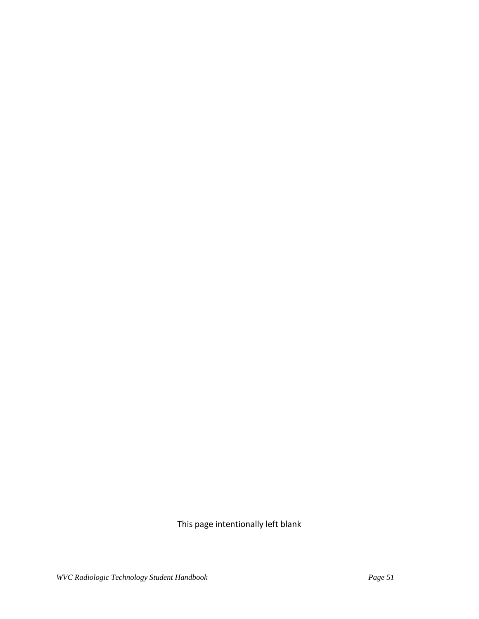This page intentionally left blank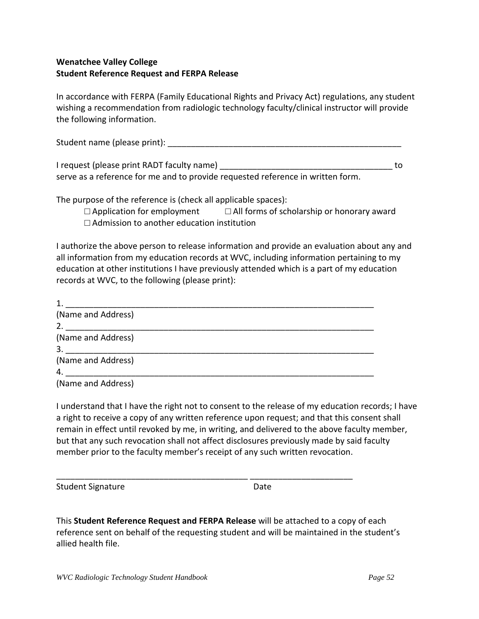## **Wenatchee Valley College Student Reference Request and FERPA Release**

In accordance with FERPA (Family Educational Rights and Privacy Act) regulations, any student wishing a recommendation from radiologic technology faculty/clinical instructor will provide the following information.

Student name (please print):  $\Box$ 

I request (please print RADT faculty name) and the state of the state of the state of the state of the state o serve as a reference for me and to provide requested reference in written form.

The purpose of the reference is (check all applicable spaces):

 $\square$  Application for employment  $\square$  All forms of scholarship or honorary award  $\square$  Admission to another education institution

I authorize the above person to release information and provide an evaluation about any and all information from my education records at WVC, including information pertaining to my education at other institutions I have previously attended which is a part of my education records at WVC, to the following (please print):

| $\mathbf{1}$       |  |
|--------------------|--|
| (Name and Address) |  |
| 2.                 |  |
| (Name and Address) |  |
| 3.                 |  |
| (Name and Address) |  |
| 4.                 |  |
| (Name and Address) |  |

I understand that I have the right not to consent to the release of my education records; I have a right to receive a copy of any written reference upon request; and that this consent shall remain in effect until revoked by me, in writing, and delivered to the above faculty member, but that any such revocation shall not affect disclosures previously made by said faculty member prior to the faculty member's receipt of any such written revocation.

Student Signature Date Date

This **Student Reference Request and FERPA Release** will be attached to a copy of each reference sent on behalf of the requesting student and will be maintained in the student's allied health file.

\_\_\_\_\_\_\_\_\_\_\_\_\_\_\_\_\_\_\_\_\_\_\_\_\_\_\_\_\_\_\_\_\_\_\_\_\_\_\_\_\_ \_\_\_\_\_\_\_\_\_\_\_\_\_\_\_\_\_\_\_\_\_\_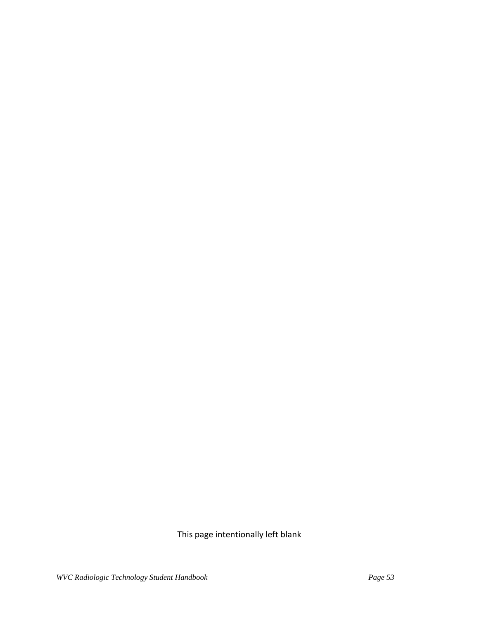This page intentionally left blank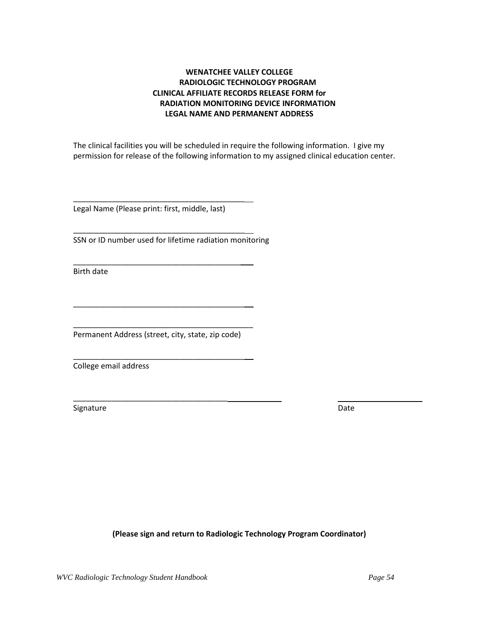## **WENATCHEE VALLEY COLLEGE RADIOLOGIC TECHNOLOGY PROGRAM CLINICAL AFFILIATE RECORDS RELEASE FORM for RADIATION MONITORING DEVICE INFORMATION LEGAL NAME AND PERMANENT ADDRESS**

The clinical facilities you will be scheduled in require the following information. I give my permission for release of the following information to my assigned clinical education center.

Legal Name (Please print: first, middle, last)

\_\_\_\_\_\_\_\_\_\_\_\_\_\_\_\_\_\_\_\_\_\_\_\_\_\_\_\_\_\_\_\_\_\_\_\_\_\_\_\_

\_\_\_\_\_\_\_\_\_\_\_\_\_\_\_\_\_\_\_\_\_\_\_\_\_\_\_\_\_\_\_\_\_\_\_\_\_\_\_\_

\_\_\_\_\_\_\_\_\_\_\_\_\_\_\_\_\_\_\_\_\_\_\_\_\_\_\_\_\_\_\_\_\_\_\_\_\_\_\_

SSN or ID number used for lifetime radiation monitoring

Birth date

\_\_\_\_\_\_\_\_\_\_\_\_\_\_\_\_\_\_\_\_\_\_\_\_\_\_\_\_\_\_\_\_\_\_\_\_\_\_\_\_\_\_ Permanent Address (street, city, state, zip code)

\_\_\_\_\_\_\_\_\_\_\_\_\_\_\_\_\_\_\_\_\_\_\_\_\_\_\_\_\_\_\_\_\_\_\_\_\_\_\_\_

\_\_\_\_\_\_\_\_\_\_\_\_\_\_\_\_\_\_\_\_\_\_\_\_\_\_\_\_\_\_\_\_\_\_\_\_

\_\_\_\_\_\_\_\_\_\_\_\_\_\_\_\_\_\_\_\_\_\_\_\_\_\_\_\_\_\_\_\_\_\_\_\_\_\_\_\_

College email address

Signature Date

**(Please sign and return to Radiologic Technology Program Coordinator)**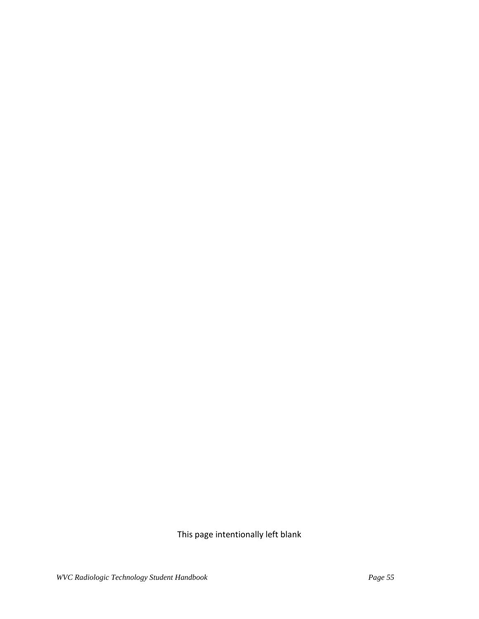This page intentionally left blank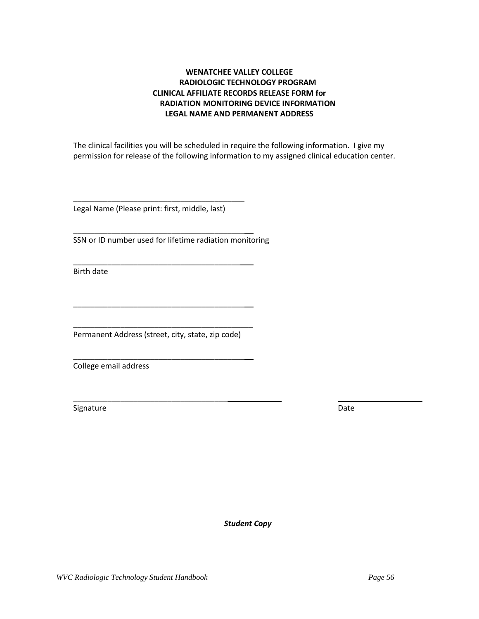## **WENATCHEE VALLEY COLLEGE RADIOLOGIC TECHNOLOGY PROGRAM CLINICAL AFFILIATE RECORDS RELEASE FORM for RADIATION MONITORING DEVICE INFORMATION LEGAL NAME AND PERMANENT ADDRESS**

The clinical facilities you will be scheduled in require the following information. I give my permission for release of the following information to my assigned clinical education center.

Legal Name (Please print: first, middle, last)

\_\_\_\_\_\_\_\_\_\_\_\_\_\_\_\_\_\_\_\_\_\_\_\_\_\_\_\_\_\_\_\_\_\_\_\_\_\_\_\_

\_\_\_\_\_\_\_\_\_\_\_\_\_\_\_\_\_\_\_\_\_\_\_\_\_\_\_\_\_\_\_\_\_\_\_\_\_\_\_\_

\_\_\_\_\_\_\_\_\_\_\_\_\_\_\_\_\_\_\_\_\_\_\_\_\_\_\_\_\_\_\_\_\_\_\_\_\_\_\_

SSN or ID number used for lifetime radiation monitoring

Birth date

\_\_\_\_\_\_\_\_\_\_\_\_\_\_\_\_\_\_\_\_\_\_\_\_\_\_\_\_\_\_\_\_\_\_\_\_\_\_\_\_\_\_ Permanent Address (street, city, state, zip code)

\_\_\_\_\_\_\_\_\_\_\_\_\_\_\_\_\_\_\_\_\_\_\_\_\_\_\_\_\_\_\_\_\_\_\_\_\_\_\_\_

\_\_\_\_\_\_\_\_\_\_\_\_\_\_\_\_\_\_\_\_\_\_\_\_\_\_\_\_\_\_\_\_\_\_\_\_

\_\_\_\_\_\_\_\_\_\_\_\_\_\_\_\_\_\_\_\_\_\_\_\_\_\_\_\_\_\_\_\_\_\_\_\_\_\_\_\_

College email address

Signature Date

*Student Copy*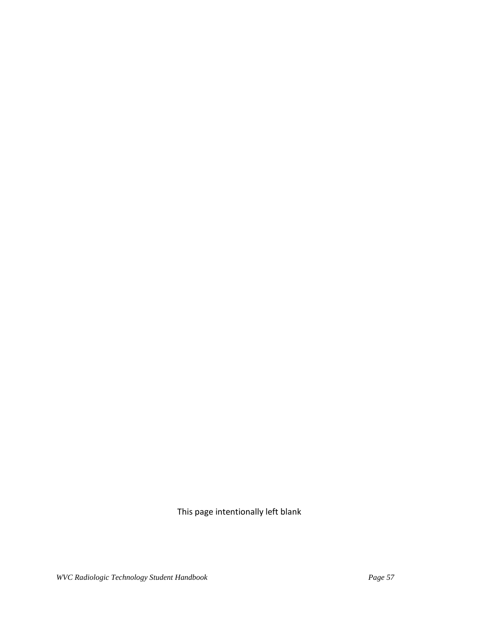This page intentionally left blank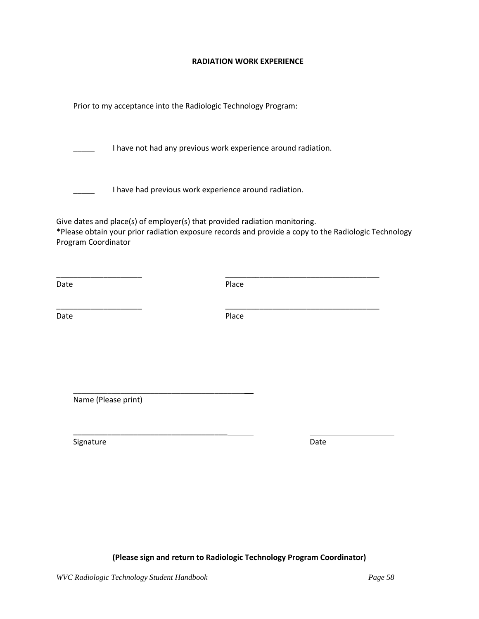#### **RADIATION WORK EXPERIENCE**

Prior to my acceptance into the Radiologic Technology Program:

I have not had any previous work experience around radiation.

I have had previous work experience around radiation.

Give dates and place(s) of employer(s) that provided radiation monitoring. \*Please obtain your prior radiation exposure records and provide a copy to the Radiologic Technology Program Coordinator

Date **Date** Place

\_\_\_\_\_\_\_\_\_\_\_\_\_\_\_\_\_\_\_\_ \_\_\_\_\_\_\_\_\_\_\_\_\_\_\_\_\_\_\_\_\_\_\_\_\_\_\_\_\_\_\_\_\_\_\_\_

\_\_\_\_\_\_\_\_\_\_\_\_\_\_\_\_\_\_\_\_ \_\_\_\_\_\_\_\_\_\_\_\_\_\_\_\_\_\_\_\_\_\_\_\_\_\_\_\_\_\_\_\_\_\_\_\_

Date **Date** Place

Name (Please print)

\_\_\_\_\_\_\_\_\_\_\_\_\_\_\_\_\_\_\_\_\_\_\_\_\_\_\_\_\_\_\_\_\_\_\_\_\_\_\_\_

\_\_\_\_\_\_\_\_\_\_\_\_\_\_\_\_\_\_\_\_\_\_\_\_\_\_\_\_\_\_\_\_\_\_\_\_

Signature Date Date Communications and the Date Date Date

**(Please sign and return to Radiologic Technology Program Coordinator)**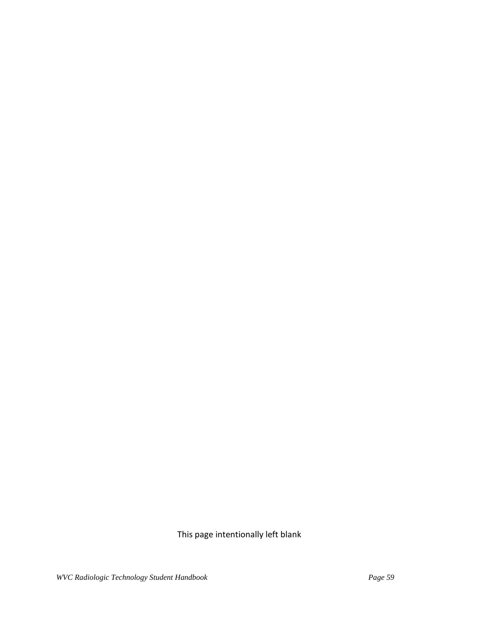This page intentionally left blank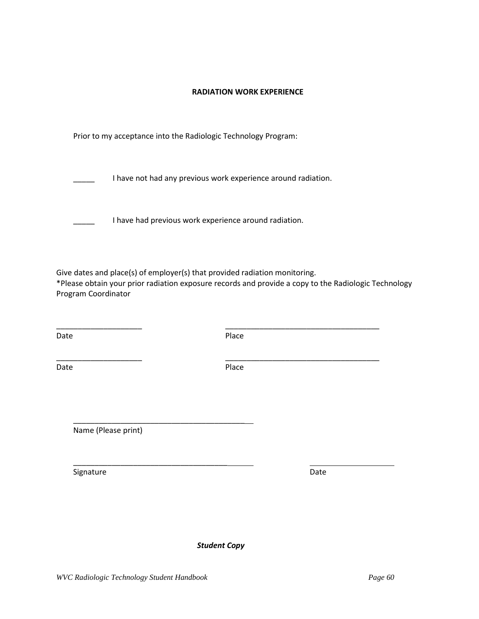## I have not had any previous work experience around radiation.

**RADIATION WORK EXPERIENCE**

I have had previous work experience around radiation.

Prior to my acceptance into the Radiologic Technology Program:

Give dates and place(s) of employer(s) that provided radiation monitoring. \*Please obtain your prior radiation exposure records and provide a copy to the Radiologic Technology Program Coordinator

Date **Date** Place

\_\_\_\_\_\_\_\_\_\_\_\_\_\_\_\_\_\_\_\_ \_\_\_\_\_\_\_\_\_\_\_\_\_\_\_\_\_\_\_\_\_\_\_\_\_\_\_\_\_\_\_\_\_\_\_\_

\_\_\_\_\_\_\_\_\_\_\_\_\_\_\_\_\_\_\_\_ \_\_\_\_\_\_\_\_\_\_\_\_\_\_\_\_\_\_\_\_\_\_\_\_\_\_\_\_\_\_\_\_\_\_\_\_

Date **Date** Place

Name (Please print)

\_\_\_\_\_\_\_\_\_\_\_\_\_\_\_\_\_\_\_\_\_\_\_\_\_\_\_\_\_\_\_\_\_\_\_\_\_\_\_\_

\_\_\_\_\_\_\_\_\_\_\_\_\_\_\_\_\_\_\_\_\_\_\_\_\_\_\_\_\_\_\_\_\_\_\_\_

Signature Date

*Student Copy*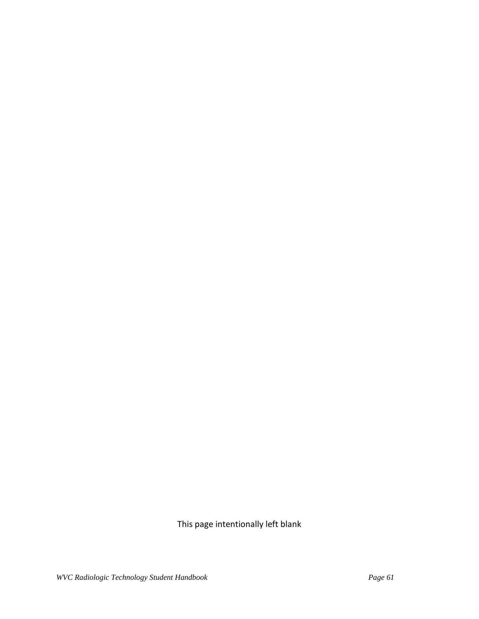This page intentionally left blank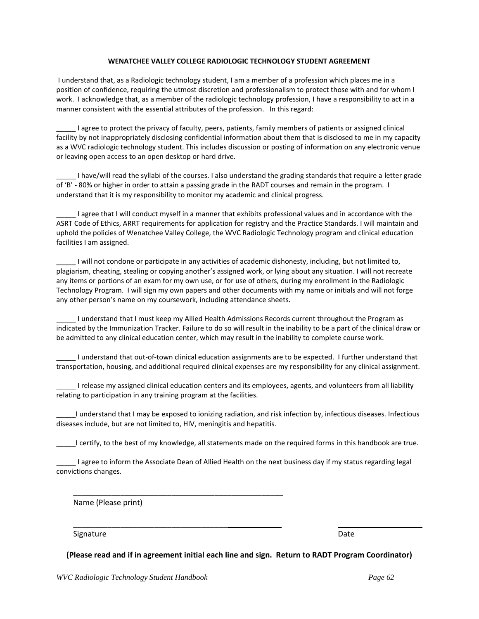#### **WENATCHEE VALLEY COLLEGE RADIOLOGIC TECHNOLOGY STUDENT AGREEMENT**

I understand that, as a Radiologic technology student, I am a member of a profession which places me in a position of confidence, requiring the utmost discretion and professionalism to protect those with and for whom I work. I acknowledge that, as a member of the radiologic technology profession, I have a responsibility to act in a manner consistent with the essential attributes of the profession. In this regard:

\_\_\_\_\_ I agree to protect the privacy of faculty, peers, patients, family members of patients or assigned clinical facility by not inappropriately disclosing confidential information about them that is disclosed to me in my capacity as a WVC radiologic technology student. This includes discussion or posting of information on any electronic venue or leaving open access to an open desktop or hard drive.

I have/will read the syllabi of the courses. I also understand the grading standards that require a letter grade of 'B' - 80% or higher in order to attain a passing grade in the RADT courses and remain in the program. I understand that it is my responsibility to monitor my academic and clinical progress.

I agree that I will conduct myself in a manner that exhibits professional values and in accordance with the ASRT Code of Ethics, ARRT requirements for application for registry and the Practice Standards. I will maintain and uphold the policies of Wenatchee Valley College, the WVC Radiologic Technology program and clinical education facilities I am assigned.

I will not condone or participate in any activities of academic dishonesty, including, but not limited to, plagiarism, cheating, stealing or copying another's assigned work, or lying about any situation. I will not recreate any items or portions of an exam for my own use, or for use of others, during my enrollment in the Radiologic Technology Program. I will sign my own papers and other documents with my name or initials and will not forge any other person's name on my coursework, including attendance sheets.

I understand that I must keep my Allied Health Admissions Records current throughout the Program as indicated by the Immunization Tracker. Failure to do so will result in the inability to be a part of the clinical draw or be admitted to any clinical education center, which may result in the inability to complete course work.

I understand that out-of-town clinical education assignments are to be expected. I further understand that transportation, housing, and additional required clinical expenses are my responsibility for any clinical assignment.

\_\_\_\_\_ I release my assigned clinical education centers and its employees, agents, and volunteers from all liability relating to participation in any training program at the facilities.

\_\_\_\_\_I understand that I may be exposed to ionizing radiation, and risk infection by, infectious diseases. Infectious diseases include, but are not limited to, HIV, meningitis and hepatitis.

\_\_\_\_\_I certify, to the best of my knowledge, all statements made on the required forms in this handbook are true.

Lagree to inform the Associate Dean of Allied Health on the next business day if my status regarding legal convictions changes.

\_\_\_\_\_\_\_\_\_\_\_\_\_\_\_\_\_\_\_\_\_\_\_\_\_\_\_\_\_\_\_\_\_\_\_\_\_\_\_\_\_\_\_\_\_\_\_\_\_

Name (Please print)

Signature **Date** 

**(Please read and if in agreement initial each line and sign. Return to RADT Program Coordinator)**

\_\_\_\_\_\_\_\_\_\_\_\_\_\_\_\_\_\_\_\_\_\_\_\_\_\_\_\_\_\_\_\_\_\_\_\_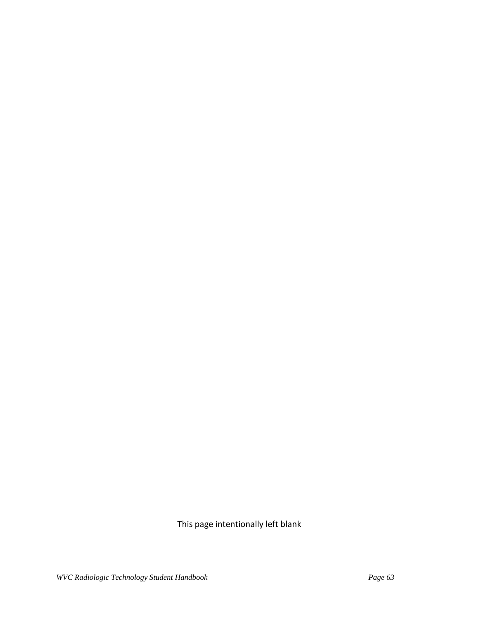This page intentionally left blank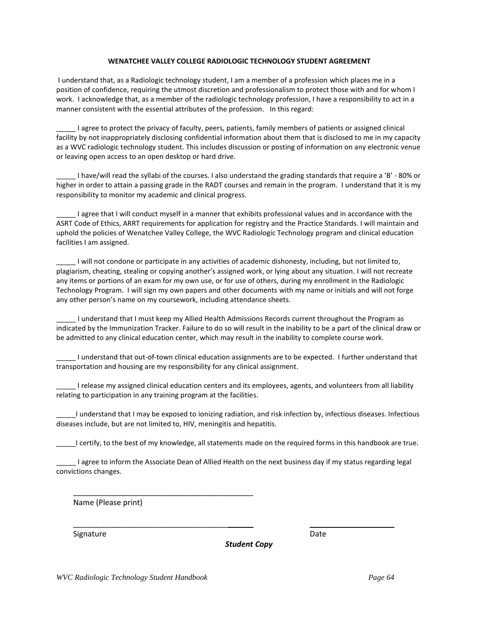#### **WENATCHEE VALLEY COLLEGE RADIOLOGIC TECHNOLOGY STUDENT AGREEMENT**

I understand that, as a Radiologic technology student, I am a member of a profession which places me in a position of confidence, requiring the utmost discretion and professionalism to protect those with and for whom I work. I acknowledge that, as a member of the radiologic technology profession, I have a responsibility to act in a manner consistent with the essential attributes of the profession. In this regard:

\_\_\_\_\_ I agree to protect the privacy of faculty, peers, patients, family members of patients or assigned clinical facility by not inappropriately disclosing confidential information about them that is disclosed to me in my capacity as a WVC radiologic technology student. This includes discussion or posting of information on any electronic venue or leaving open access to an open desktop or hard drive.

I have/will read the syllabi of the courses. I also understand the grading standards that require a 'B' - 80% or higher in order to attain a passing grade in the RADT courses and remain in the program. I understand that it is my responsibility to monitor my academic and clinical progress.

I agree that I will conduct myself in a manner that exhibits professional values and in accordance with the ASRT Code of Ethics, ARRT requirements for application for registry and the Practice Standards. I will maintain and uphold the policies of Wenatchee Valley College, the WVC Radiologic Technology program and clinical education facilities I am assigned.

I will not condone or participate in any activities of academic dishonesty, including, but not limited to, plagiarism, cheating, stealing or copying another's assigned work, or lying about any situation. I will not recreate any items or portions of an exam for my own use, or for use of others, during my enrollment in the Radiologic Technology Program. I will sign my own papers and other documents with my name or initials and will not forge any other person's name on my coursework, including attendance sheets.

I understand that I must keep my Allied Health Admissions Records current throughout the Program as indicated by the Immunization Tracker. Failure to do so will result in the inability to be a part of the clinical draw or be admitted to any clinical education center, which may result in the inability to complete course work.

\_\_\_\_\_ I understand that out-of-town clinical education assignments are to be expected. I further understand that transportation and housing are my responsibility for any clinical assignment.

\_\_\_\_\_ I release my assigned clinical education centers and its employees, agents, and volunteers from all liability relating to participation in any training program at the facilities.

I understand that I may be exposed to ionizing radiation, and risk infection by, infectious diseases. Infectious diseases include, but are not limited to, HIV, meningitis and hepatitis.

\_\_\_\_\_I certify, to the best of my knowledge, all statements made on the required forms in this handbook are true.

Lagree to inform the Associate Dean of Allied Health on the next business day if my status regarding legal convictions changes.

Name (Please print)

Signature Date Date Date of the Date Date of the Date Date Date Date of the Date Date Date of the Date of the D

*Student Copy*

\_\_\_\_\_\_\_\_\_\_\_\_\_\_\_\_\_\_\_\_\_\_\_\_\_\_\_\_\_\_\_\_\_\_\_\_\_\_\_\_\_\_

\_\_\_\_\_\_\_\_\_\_\_\_\_\_\_\_\_\_\_\_\_\_\_\_\_\_\_\_\_\_\_\_\_\_\_\_